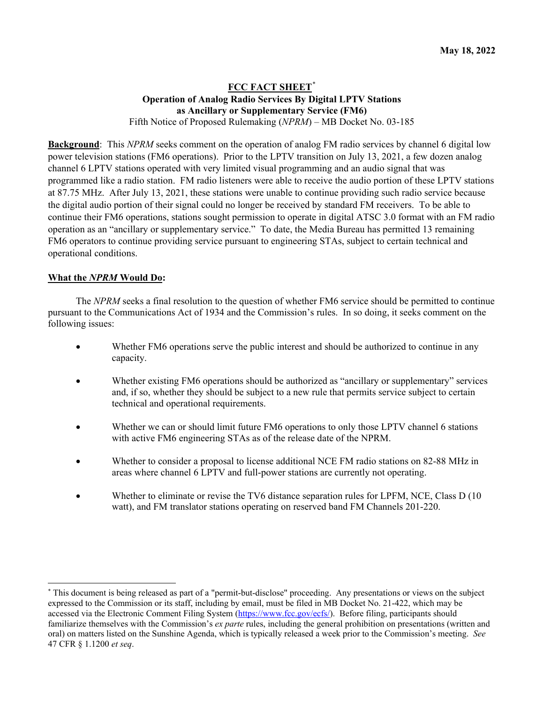# **FCC FACT SHEET**[\\*](#page-0-0) **Operation of Analog Radio Services By Digital LPTV Stations as Ancillary or Supplementary Service (FM6)** Fifth Notice of Proposed Rulemaking (*NPRM*) – MB Docket No. 03-185

**Background**: This *NPRM* seeks comment on the operation of analog FM radio services by channel 6 digital low power television stations (FM6 operations). Prior to the LPTV transition on July 13, 2021, a few dozen analog channel 6 LPTV stations operated with very limited visual programming and an audio signal that was programmed like a radio station. FM radio listeners were able to receive the audio portion of these LPTV stations at 87.75 MHz. After July 13, 2021, these stations were unable to continue providing such radio service because the digital audio portion of their signal could no longer be received by standard FM receivers. To be able to continue their FM6 operations, stations sought permission to operate in digital ATSC 3.0 format with an FM radio operation as an "ancillary or supplementary service." To date, the Media Bureau has permitted 13 remaining FM6 operators to continue providing service pursuant to engineering STAs, subject to certain technical and operational conditions.

## **What the** *NPRM* **Would Do:**

The *NPRM* seeks a final resolution to the question of whether FM6 service should be permitted to continue pursuant to the Communications Act of 1934 and the Commission's rules. In so doing, it seeks comment on the following issues:

- Whether FM6 operations serve the public interest and should be authorized to continue in any capacity.
- Whether existing FM6 operations should be authorized as "ancillary or supplementary" services and, if so, whether they should be subject to a new rule that permits service subject to certain technical and operational requirements.
- Whether we can or should limit future FM6 operations to only those LPTV channel 6 stations with active FM6 engineering STAs as of the release date of the NPRM.
- Whether to consider a proposal to license additional NCE FM radio stations on 82-88 MHz in areas where channel 6 LPTV and full-power stations are currently not operating.
- Whether to eliminate or revise the TV6 distance separation rules for LPFM, NCE, Class D (10) watt), and FM translator stations operating on reserved band FM Channels 201-220.

<span id="page-0-0"></span><sup>\*</sup> This document is being released as part of a "permit-but-disclose" proceeding. Any presentations or views on the subject expressed to the Commission or its staff, including by email, must be filed in MB Docket No. 21-422, which may be accessed via the Electronic Comment Filing System [\(https://www.fcc.gov/ecfs/\)](https://www.fcc.gov/ecfs/). Before filing, participants should familiarize themselves with the Commission's *ex parte* rules, including the general prohibition on presentations (written and oral) on matters listed on the Sunshine Agenda, which is typically released a week prior to the Commission's meeting. *See*  47 CFR § 1.1200 *et seq*.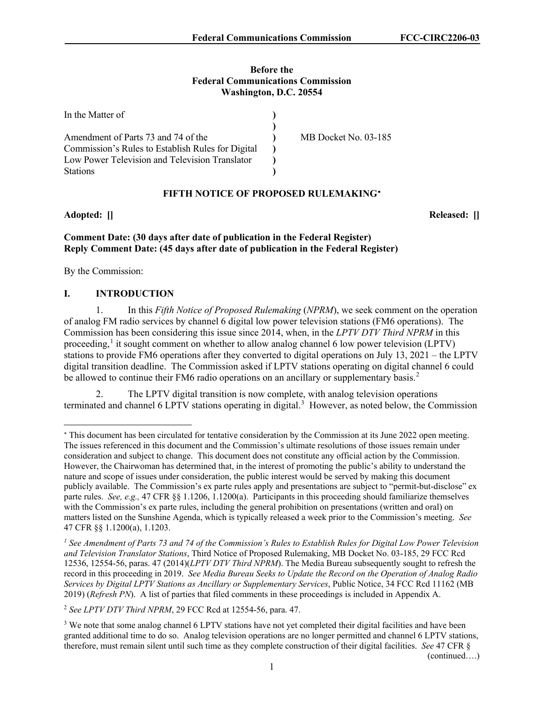#### **Before the Federal Communications Commission Washington, D.C. 20554**

| In the Matter of                                  |                      |
|---------------------------------------------------|----------------------|
|                                                   |                      |
| Amendment of Parts 73 and 74 of the               | MB Docket No. 03-185 |
| Commission's Rules to Establish Rules for Digital |                      |
| Low Power Television and Television Translator    |                      |
| <b>Stations</b>                                   |                      |

# **FIFTH NOTICE OF PROPOSED RULEMAKING**[∗](#page-1-0)

**Adopted: [] Released: []**

# **Comment Date: (30 days after date of publication in the Federal Register) Reply Comment Date: (45 days after date of publication in the Federal Register)**

By the Commission:

# **I. INTRODUCTION**

1. In this *Fifth Notice of Proposed Rulemaking* (*NPRM*), we seek comment on the operation of analog FM radio services by channel 6 digital low power television stations (FM6 operations). The Commission has been considering this issue since 2014, when, in the *LPTV DTV Third NPRM* in this proceeding, $\frac{1}{1}$  $\frac{1}{1}$  $\frac{1}{1}$  it sought comment on whether to allow analog channel 6 low power television (LPTV) stations to provide FM6 operations after they converted to digital operations on July 13, 2021 – the LPTV digital transition deadline. The Commission asked if LPTV stations operating on digital channel 6 could be allowed to continue their FM6 radio operations on an ancillary or supplementary basis.<sup>[2](#page-1-2)</sup>

2. The LPTV digital transition is now complete, with analog television operations terminated and channel 6 LPTV stations operating in digital.<sup>[3](#page-1-3)</sup> However, as noted below, the Commission

<span id="page-1-2"></span><sup>2</sup> *See LPTV DTV Third NPRM*, 29 FCC Rcd at 12554-56, para. 47.

<span id="page-1-3"></span><sup>3</sup> We note that some analog channel 6 LPTV stations have not yet completed their digital facilities and have been granted additional time to do so. Analog television operations are no longer permitted and channel 6 LPTV stations, therefore, must remain silent until such time as they complete construction of their digital facilities. *See* 47 CFR §

(continued….)

<span id="page-1-0"></span><sup>∗</sup> This document has been circulated for tentative consideration by the Commission at its June 2022 open meeting. The issues referenced in this document and the Commission's ultimate resolutions of those issues remain under consideration and subject to change. This document does not constitute any official action by the Commission. However, the Chairwoman has determined that, in the interest of promoting the public's ability to understand the nature and scope of issues under consideration, the public interest would be served by making this document publicly available. The Commission's ex parte rules apply and presentations are subject to "permit-but-disclose" ex parte rules. *See, e.g.,* 47 CFR §§ 1.1206, 1.1200(a). Participants in this proceeding should familiarize themselves with the Commission's ex parte rules, including the general prohibition on presentations (written and oral) on matters listed on the Sunshine Agenda, which is typically released a week prior to the Commission's meeting. *See* 47 CFR §§ 1.1200(a), 1.1203.

<span id="page-1-1"></span>*<sup>1</sup> See Amendment of Parts 73 and 74 of the Commission's Rules to Establish Rules for Digital Low Power Television and Television Translator Stations*, Third Notice of Proposed Rulemaking, MB Docket No. 03-185, 29 FCC Rcd 12536, 12554-56, paras. 47 (2014)(*LPTV DTV Third NPRM*). The Media Bureau subsequently sought to refresh the record in this proceeding in 2019. *See Media Bureau Seeks to Update the Record on the Operation of Analog Radio Services by Digital LPTV Stations as Ancillary or Supplementary Services*, Public Notice, 34 FCC Rcd 11162 (MB 2019) (*Refresh PN*). A list of parties that filed comments in these proceedings is included in Appendix A.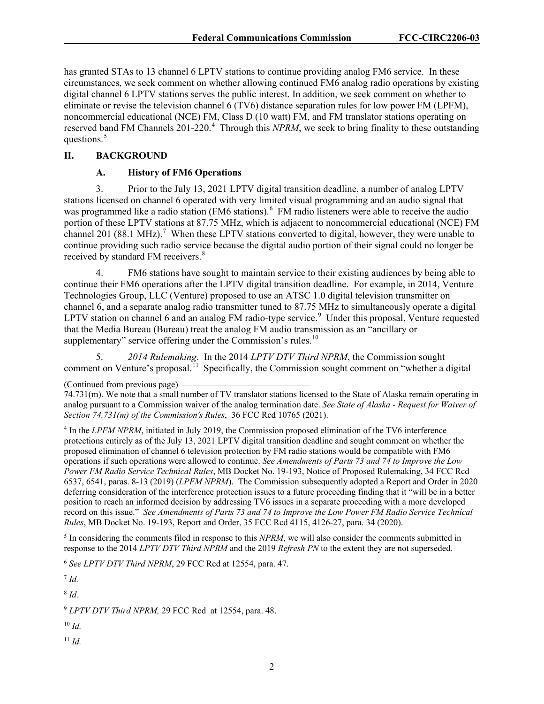has granted STAs to 13 channel 6 LPTV stations to continue providing analog FM6 service. In these circumstances, we seek comment on whether allowing continued FM6 analog radio operations by existing digital channel 6 LPTV stations serves the public interest. In addition, we seek comment on whether to eliminate or revise the television channel 6 (TV6) distance separation rules for low power FM (LPFM), noncommercial educational (NCE) FM, Class D (10 watt) FM, and FM translator stations operating on reserved band FM Channels 201-220.<sup>[4](#page-2-0)</sup> Through this *NPRM*, we seek to bring finality to these outstanding questions.<sup>[5](#page-2-1)</sup>

### **II. BACKGROUND**

#### **A. History of FM6 Operations**

3. Prior to the July 13, 2021 LPTV digital transition deadline, a number of analog LPTV stations licensed on channel 6 operated with very limited visual programming and an audio signal that was programmed like a radio station (FM[6](#page-2-2) stations).<sup>6</sup> FM radio listeners were able to receive the audio portion of these LPTV stations at 87.75 MHz, which is adjacent to noncommercial educational (NCE) FM channel 201 (88.1 MHz).<sup>[7](#page-2-3)</sup> When these LPTV stations converted to digital, however, they were unable to continue providing such radio service because the digital audio portion of their signal could no longer be received by standard FM receivers.<sup>[8](#page-2-4)</sup>

4. FM6 stations have sought to maintain service to their existing audiences by being able to continue their FM6 operations after the LPTV digital transition deadline. For example, in 2014, Venture Technologies Group, LLC (Venture) proposed to use an ATSC 1.0 digital television transmitter on channel 6, and a separate analog radio transmitter tuned to 87.75 MHz to simultaneously operate a digital LPTV station on channel 6 and an analog FM radio-type service.<sup>[9](#page-2-5)</sup> Under this proposal, Venture requested that the Media Bureau (Bureau) treat the analog FM audio transmission as an "ancillary or supplementary" service offering under the Commission's rules. $10$ 

5. *2014 Rulemaking*. In the 2014 *LPTV DTV Third NPRM*, the Commission sought comment on Venture's proposal.<sup>11</sup> Specifically, the Commission sought comment on "whether a digital"

<span id="page-2-0"></span><sup>4</sup> In the *LPFM NPRM*, initiated in July 2019, the Commission proposed elimination of the TV6 interference protections entirely as of the July 13, 2021 LPTV digital transition deadline and sought comment on whether the proposed elimination of channel 6 television protection by FM radio stations would be compatible with FM6 operations if such operations were allowed to continue. *See Amendments of Parts 73 and 74 to Improve the Low Power FM Radio Service Technical Rules*, MB Docket No. 19-193, Notice of Proposed Rulemaking, 34 FCC Rcd 6537, 6541, paras. 8-13 (2019) (*LPFM NPRM*). The Commission subsequently adopted a Report and Order in 2020 deferring consideration of the interference protection issues to a future proceeding finding that it "will be in a better position to reach an informed decision by addressing TV6 issues in a separate proceeding with a more developed record on this issue." *See Amendments of Parts 73 and 74 to Improve the Low Power FM Radio Service Technical Rules*, MB Docket No. 19-193, Report and Order, 35 FCC Rcd 4115, 4126-27, para. 34 (2020).

<span id="page-2-1"></span><sup>5</sup> In considering the comments filed in response to this *NPRM*, we will also consider the comments submitted in response to the 2014 *LPTV DTV Third NPRM* and the 2019 *Refresh PN* to the extent they are not superseded.

<span id="page-2-2"></span><sup>6</sup> *See LPTV DTV Third NPRM*, 29 FCC Rcd at 12554, para. 47.

<span id="page-2-3"></span><sup>7</sup> *Id.*

<span id="page-2-4"></span><sup>8</sup> *Id.*

<span id="page-2-5"></span><sup>9</sup> *LPTV DTV Third NPRM,* 29 FCC Rcd at 12554, para. 48.

<span id="page-2-6"></span><sup>10</sup> *Id.*

<span id="page-2-7"></span><sup>11</sup> *Id.*

<sup>(</sup>Continued from previous page)

<sup>74.731(</sup>m). We note that a small number of TV translator stations licensed to the State of Alaska remain operating in analog pursuant to a Commission waiver of the analog termination date. *See State of Alaska - Request for Waiver of Section 74.731(m) of the Commission's Rules*, 36 FCC Rcd 10765 (2021).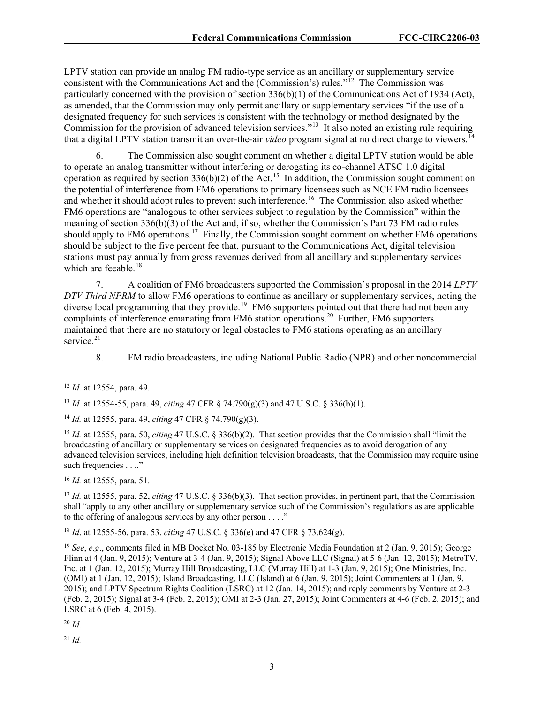LPTV station can provide an analog FM radio-type service as an ancillary or supplementary service consistent with the Communications Act and the (Commission's) rules."[12](#page-3-0) The Commission was particularly concerned with the provision of section 336(b)(1) of the Communications Act of 1934 (Act), as amended, that the Commission may only permit ancillary or supplementary services "if the use of a designated frequency for such services is consistent with the technology or method designated by the Commission for the provision of advanced television services."[13](#page-3-1) It also noted an existing rule requiring that a digital LPTV station transmit an over-the-air *video* program signal at no direct charge to viewers.<sup>[14](#page-3-2)</sup>

6. The Commission also sought comment on whether a digital LPTV station would be able to operate an analog transmitter without interfering or derogating its co-channel ATSC 1.0 digital operation as required by section 336(b)(2) of the Act.<sup>[15](#page-3-3)</sup> In addition, the Commission sought comment on the potential of interference from FM6 operations to primary licensees such as NCE FM radio licensees and whether it should adopt rules to prevent such interference.<sup>16</sup> The Commission also asked whether FM6 operations are "analogous to other services subject to regulation by the Commission" within the meaning of section 336(b)(3) of the Act and, if so, whether the Commission's Part 73 FM radio rules should apply to FM6 operations.<sup>17</sup> Finally, the Commission sought comment on whether FM6 operations should be subject to the five percent fee that, pursuant to the Communications Act, digital television stations must pay annually from gross revenues derived from all ancillary and supplementary services which are feeable. $18$ 

7. A coalition of FM6 broadcasters supported the Commission's proposal in the 2014 *LPTV DTV Third NPRM* to allow FM6 operations to continue as ancillary or supplementary services, noting the diverse local programming that they provide.<sup>[19](#page-3-7)</sup> FM6 supporters pointed out that there had not been any complaints of interference emanating from FM6 station operations.<sup>[20](#page-3-8)</sup> Further, FM6 supporters maintained that there are no statutory or legal obstacles to FM6 stations operating as an ancillary service. $21$ 

8. FM radio broadcasters, including National Public Radio (NPR) and other noncommercial

<span id="page-3-1"></span><sup>13</sup> *Id.* at 12554-55, para. 49, *citing* 47 CFR § 74.790(g)(3) and 47 U.S.C. § 336(b)(1).

<span id="page-3-2"></span><sup>14</sup> *Id.* at 12555, para. 49, *citing* 47 CFR § 74.790(g)(3).

<span id="page-3-3"></span><sup>15</sup> *Id.* at 12555, para. 50, *citing* 47 U.S.C. § 336(b)(2). That section provides that the Commission shall "limit the broadcasting of ancillary or supplementary services on designated frequencies as to avoid derogation of any advanced television services, including high definition television broadcasts, that the Commission may require using such frequencies . . .."

<span id="page-3-4"></span><sup>16</sup> *Id.* at 12555, para. 51.

<span id="page-3-5"></span><sup>17</sup> *Id.* at 12555, para. 52, *citing* 47 U.S.C. § 336(b)(3). That section provides, in pertinent part, that the Commission shall "apply to any other ancillary or supplementary service such of the Commission's regulations as are applicable to the offering of analogous services by any other person . . . ."

<span id="page-3-6"></span><sup>18</sup> *Id*. at 12555-56, para. 53, *citing* 47 U.S.C. § 336(e) and 47 CFR § 73.624(g).

<span id="page-3-7"></span><sup>19</sup> *See*, *e.g.*, comments filed in MB Docket No. 03-185 by Electronic Media Foundation at 2 (Jan. 9, 2015); George Flinn at 4 (Jan. 9, 2015); Venture at 3-4 (Jan. 9, 2015); Signal Above LLC (Signal) at 5-6 (Jan. 12, 2015); MetroTV, Inc. at 1 (Jan. 12, 2015); Murray Hill Broadcasting, LLC (Murray Hill) at 1-3 (Jan. 9, 2015); One Ministries, Inc. (OMI) at 1 (Jan. 12, 2015); Island Broadcasting, LLC (Island) at 6 (Jan. 9, 2015); Joint Commenters at 1 (Jan. 9, 2015); and LPTV Spectrum Rights Coalition (LSRC) at 12 (Jan. 14, 2015); and reply comments by Venture at 2-3 (Feb. 2, 2015); Signal at 3-4 (Feb. 2, 2015); OMI at 2-3 (Jan. 27, 2015); Joint Commenters at 4-6 (Feb. 2, 2015); and LSRC at 6 (Feb. 4, 2015).

<span id="page-3-8"></span><sup>20</sup> *Id.*

<span id="page-3-9"></span><sup>21</sup> *Id.*

<span id="page-3-0"></span><sup>12</sup> *Id.* at 12554, para. 49.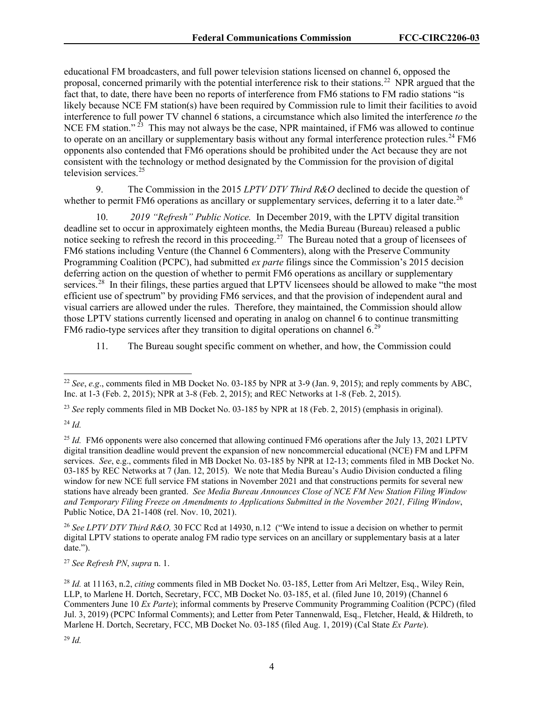educational FM broadcasters, and full power television stations licensed on channel 6, opposed the proposal, concerned primarily with the potential interference risk to their stations.<sup>[22](#page-4-0)</sup> NPR argued that the fact that, to date, there have been no reports of interference from FM6 stations to FM radio stations "is likely because NCE FM station(s) have been required by Commission rule to limit their facilities to avoid interference to full power TV channel 6 stations, a circumstance which also limited the interference *to* the NCE FM station."  $^{23}$  This may not always be the case, NPR maintained, if FM6 was allowed to continue to operate on an ancillary or supplementary basis without any formal interference protection rules.<sup>[24](#page-4-2)</sup> FM6 opponents also contended that FM6 operations should be prohibited under the Act because they are not consistent with the technology or method designated by the Commission for the provision of digital television services. $25$ 

9. The Commission in the 2015 *LPTV DTV Third R&O* declined to decide the question of whether to permit FM6 operations as ancillary or supplementary services, deferring it to a later date.<sup>[26](#page-4-4)</sup>

10. *2019 "Refresh" Public Notice.* In December 2019, with the LPTV digital transition deadline set to occur in approximately eighteen months, the Media Bureau (Bureau) released a public notice seeking to refresh the record in this proceeding.<sup>27</sup> The Bureau noted that a group of licensees of FM6 stations including Venture (the Channel 6 Commenters), along with the Preserve Community Programming Coalition (PCPC), had submitted *ex parte* filings since the Commission's 2015 decision deferring action on the question of whether to permit FM6 operations as ancillary or supplementary services.<sup>28</sup> In their filings, these parties argued that LPTV licensees should be allowed to make "the most" efficient use of spectrum" by providing FM6 services, and that the provision of independent aural and visual carriers are allowed under the rules. Therefore, they maintained, the Commission should allow those LPTV stations currently licensed and operating in analog on channel 6 to continue transmitting FM6 radio-type services after they transition to digital operations on channel  $6<sup>29</sup>$  $6<sup>29</sup>$  $6<sup>29</sup>$ 

11. The Bureau sought specific comment on whether, and how, the Commission could

<span id="page-4-1"></span><sup>23</sup> *See* reply comments filed in MB Docket No. 03-185 by NPR at 18 (Feb. 2, 2015) (emphasis in original).

<span id="page-4-2"></span><sup>24</sup> *Id.*

<span id="page-4-4"></span><sup>26</sup> *See LPTV DTV Third R&O,* 30 FCC Rcd at 14930, n.12 ("We intend to issue a decision on whether to permit digital LPTV stations to operate analog FM radio type services on an ancillary or supplementary basis at a later date.").

<span id="page-4-5"></span><sup>27</sup> *See Refresh PN*, *supra* n. 1.

<span id="page-4-0"></span><sup>22</sup> *See*, *e.g*., comments filed in MB Docket No. 03-185 by NPR at 3-9 (Jan. 9, 2015); and reply comments by ABC, Inc. at 1-3 (Feb. 2, 2015); NPR at 3-8 (Feb. 2, 2015); and REC Networks at 1-8 (Feb. 2, 2015).

<span id="page-4-3"></span><sup>&</sup>lt;sup>25</sup> *Id.* FM6 opponents were also concerned that allowing continued FM6 operations after the July 13, 2021 LPTV digital transition deadline would prevent the expansion of new noncommercial educational (NCE) FM and LPFM services. *See*, e.g., comments filed in MB Docket No. 03-185 by NPR at 12-13; comments filed in MB Docket No. 03-185 by REC Networks at 7 (Jan. 12, 2015). We note that Media Bureau's Audio Division conducted a filing window for new NCE full service FM stations in November 2021 and that constructions permits for several new stations have already been granted. *See Media Bureau Announces Close of NCE FM New Station Filing Window and Temporary Filing Freeze on Amendments to Applications Submitted in the November 2021, Filing Window*, Public Notice, DA 21-1408 (rel. Nov. 10, 2021).

<span id="page-4-7"></span><span id="page-4-6"></span><sup>28</sup> *Id.* at 11163, n.2, *citing* comments filed in MB Docket No. 03-185, Letter from Ari Meltzer, Esq., Wiley Rein, LLP, to Marlene H. Dortch, Secretary, FCC, MB Docket No. 03-185, et al. (filed June 10, 2019) (Channel 6 Commenters June 10 *Ex Parte*); informal comments by Preserve Community Programming Coalition (PCPC) (filed Jul. 3, 2019) (PCPC Informal Comments); and Letter from Peter Tannenwald, Esq., Fletcher, Heald, & Hildreth, to Marlene H. Dortch, Secretary, FCC, MB Docket No. 03-185 (filed Aug. 1, 2019) (Cal State *Ex Parte*).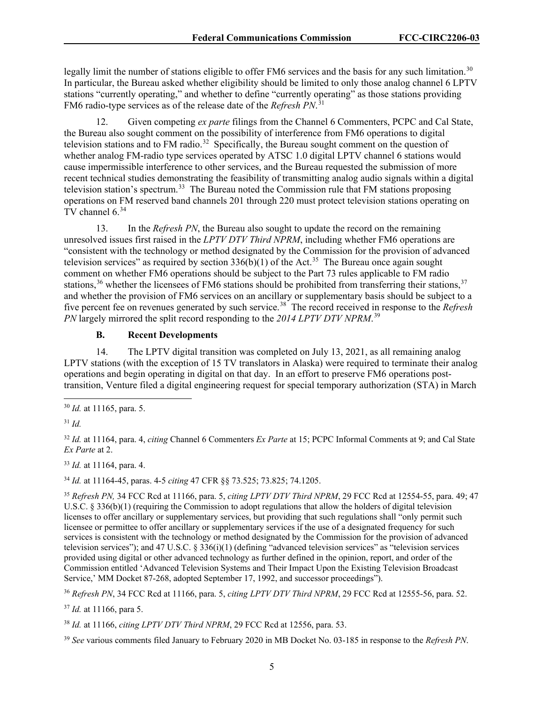legally limit the number of stations eligible to offer FM6 services and the basis for any such limitation.<sup>[30](#page-5-0)</sup> In particular, the Bureau asked whether eligibility should be limited to only those analog channel 6 LPTV stations "currently operating," and whether to define "currently operating" as those stations providing FM6 radio-type services as of the release date of the *Refresh PN*. [31](#page-5-1)

12. Given competing *ex parte* filings from the Channel 6 Commenters, PCPC and Cal State, the Bureau also sought comment on the possibility of interference from FM6 operations to digital television stations and to FM radio.<sup>[32](#page-5-2)</sup> Specifically, the Bureau sought comment on the question of whether analog FM-radio type services operated by ATSC 1.0 digital LPTV channel 6 stations would cause impermissible interference to other services, and the Bureau requested the submission of more recent technical studies demonstrating the feasibility of transmitting analog audio signals within a digital television station's spectrum.<sup>[33](#page-5-3)</sup> The Bureau noted the Commission rule that FM stations proposing operations on FM reserved band channels 201 through 220 must protect television stations operating on TV channel 6.[34](#page-5-4)

13. In the *Refresh PN*, the Bureau also sought to update the record on the remaining unresolved issues first raised in the *LPTV DTV Third NPRM*, including whether FM6 operations are "consistent with the technology or method designated by the Commission for the provision of advanced television services" as required by section  $336(b)(1)$  of the Act.<sup>35</sup> The Bureau once again sought comment on whether FM6 operations should be subject to the Part 73 rules applicable to FM radio stations,<sup>[36](#page-5-6)</sup> whether the licensees of FM6 stations should be prohibited from transferring their stations,  $37$ and whether the provision of FM6 services on an ancillary or supplementary basis should be subject to a five percent fee on revenues generated by such service.[38](#page-5-8) The record received in response to the *Refresh PN* largely mirrored the split record responding to the *2014 LPTV DTV NPRM*. [39](#page-5-9)

## **B. Recent Developments**

14. The LPTV digital transition was completed on July 13, 2021, as all remaining analog LPTV stations (with the exception of 15 TV translators in Alaska) were required to terminate their analog operations and begin operating in digital on that day. In an effort to preserve FM6 operations posttransition, Venture filed a digital engineering request for special temporary authorization (STA) in March

<span id="page-5-1"></span><sup>31</sup> *Id.*

<span id="page-5-2"></span><sup>32</sup> *Id.* at 11164, para. 4, *citing* Channel 6 Commenters *Ex Parte* at 15; PCPC Informal Comments at 9; and Cal State *Ex Parte* at 2.

<span id="page-5-3"></span><sup>33</sup> *Id.* at 11164, para. 4.

<span id="page-5-4"></span><sup>34</sup> *Id.* at 11164-45, paras. 4-5 *citing* 47 CFR §§ 73.525; 73.825; 74.1205.

<span id="page-5-5"></span><sup>35</sup> *Refresh PN,* 34 FCC Rcd at 11166, para. 5, *citing LPTV DTV Third NPRM*, 29 FCC Rcd at 12554-55, para. 49; 47 U.S.C. § 336(b)(1) (requiring the Commission to adopt regulations that allow the holders of digital television licenses to offer ancillary or supplementary services, but providing that such regulations shall "only permit such licensee or permittee to offer ancillary or supplementary services if the use of a designated frequency for such services is consistent with the technology or method designated by the Commission for the provision of advanced television services"); and 47 U.S.C. § 336(i)(1) (defining "advanced television services" as "television services provided using digital or other advanced technology as further defined in the opinion, report, and order of the Commission entitled 'Advanced Television Systems and Their Impact Upon the Existing Television Broadcast Service,' MM Docket 87-268, adopted September 17, 1992, and successor proceedings").

<span id="page-5-6"></span><sup>36</sup> *Refresh PN*, 34 FCC Rcd at 11166, para. 5, *citing LPTV DTV Third NPRM*, 29 FCC Rcd at 12555-56, para. 52.

<span id="page-5-7"></span><sup>37</sup> *Id.* at 11166, para 5.

<span id="page-5-8"></span><sup>38</sup> *Id.* at 11166, *citing LPTV DTV Third NPRM*, 29 FCC Rcd at 12556, para. 53.

<span id="page-5-9"></span><sup>39</sup> *See* various comments filed January to February 2020 in MB Docket No. 03-185 in response to the *Refresh PN*.

<span id="page-5-0"></span><sup>30</sup> *Id.* at 11165, para. 5.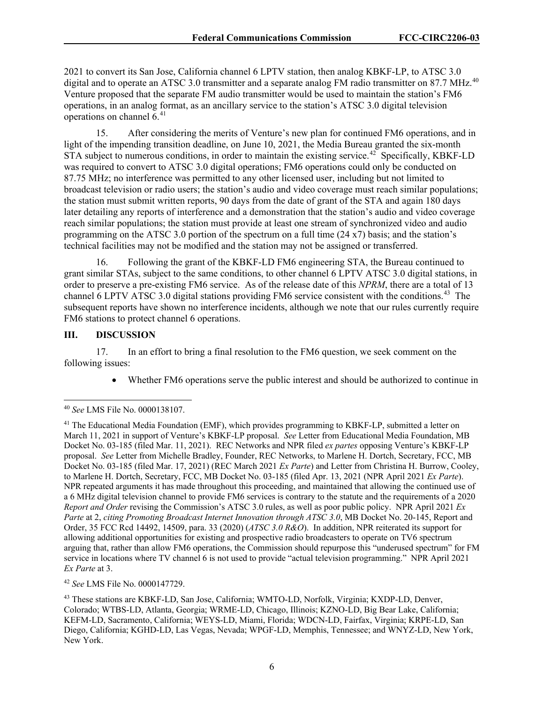2021 to convert its San Jose, California channel 6 LPTV station, then analog KBKF-LP, to ATSC 3.0 digital and to operate an ATSC 3.0 transmitter and a separate analog FM radio transmitter on 87.7 MHz.<sup>[40](#page-6-0)</sup> Venture proposed that the separate FM audio transmitter would be used to maintain the station's FM6 operations, in an analog format, as an ancillary service to the station's ATSC 3.0 digital television operations on channel 6.<sup>[41](#page-6-1)</sup>

15. After considering the merits of Venture's new plan for continued FM6 operations, and in light of the impending transition deadline, on June 10, 2021, the Media Bureau granted the six-month  $\overrightarrow{STA}$  subject to numerous conditions, in order to maintain the existing service.<sup>[42](#page-6-2)</sup> Specifically, KBKF-LD was required to convert to ATSC 3.0 digital operations; FM6 operations could only be conducted on 87.75 MHz; no interference was permitted to any other licensed user, including but not limited to broadcast television or radio users; the station's audio and video coverage must reach similar populations; the station must submit written reports, 90 days from the date of grant of the STA and again 180 days later detailing any reports of interference and a demonstration that the station's audio and video coverage reach similar populations; the station must provide at least one stream of synchronized video and audio programming on the ATSC 3.0 portion of the spectrum on a full time  $(24 \times 7)$  basis; and the station's technical facilities may not be modified and the station may not be assigned or transferred.

16. Following the grant of the KBKF-LD FM6 engineering STA, the Bureau continued to grant similar STAs, subject to the same conditions, to other channel 6 LPTV ATSC 3.0 digital stations, in order to preserve a pre-existing FM6 service. As of the release date of this *NPRM*, there are a total of 13 channel 6 LPTV ATSC 3.0 digital stations providing FM6 service consistent with the conditions.<sup>43</sup> The subsequent reports have shown no interference incidents, although we note that our rules currently require FM6 stations to protect channel 6 operations.

# **III. DISCUSSION**

17. In an effort to bring a final resolution to the FM6 question, we seek comment on the following issues:

• Whether FM6 operations serve the public interest and should be authorized to continue in

<span id="page-6-2"></span><sup>42</sup> *See* LMS File No. 0000147729.

<span id="page-6-0"></span><sup>40</sup> *See* LMS File No. 0000138107.

<span id="page-6-1"></span> $41$  The Educational Media Foundation (EMF), which provides programming to KBKF-LP, submitted a letter on March 11, 2021 in support of Venture's KBKF-LP proposal. *See* Letter from Educational Media Foundation, MB Docket No. 03-185 (filed Mar. 11, 2021). REC Networks and NPR filed *ex partes* opposing Venture's KBKF-LP proposal. *See* Letter from Michelle Bradley, Founder, REC Networks, to Marlene H. Dortch, Secretary, FCC, MB Docket No. 03-185 (filed Mar. 17, 2021) (REC March 2021 *Ex Parte*) and Letter from Christina H. Burrow, Cooley, to Marlene H. Dortch, Secretary, FCC, MB Docket No. 03-185 (filed Apr. 13, 2021 (NPR April 2021 *Ex Parte*). NPR repeated arguments it has made throughout this proceeding, and maintained that allowing the continued use of a 6 MHz digital television channel to provide FM6 services is contrary to the statute and the requirements of a 2020 *Report and Order* revising the Commission's ATSC 3.0 rules, as well as poor public policy. NPR April 2021 *Ex Parte* at 2, *citing Promoting Broadcast Internet Innovation through ATSC 3.0*, MB Docket No. 20-145, Report and Order, 35 FCC Rcd 14492, 14509, para. 33 (2020) (*ATSC 3.0 R&O*). In addition, NPR reiterated its support for allowing additional opportunities for existing and prospective radio broadcasters to operate on TV6 spectrum arguing that, rather than allow FM6 operations, the Commission should repurpose this "underused spectrum" for FM service in locations where TV channel 6 is not used to provide "actual television programming." NPR April 2021 *Ex Parte* at 3.

<span id="page-6-3"></span><sup>43</sup> These stations are KBKF-LD, San Jose, California; WMTO-LD, Norfolk, Virginia; KXDP-LD, Denver, Colorado; WTBS-LD, Atlanta, Georgia; WRME-LD, Chicago, Illinois; KZNO-LD, Big Bear Lake, California; KEFM-LD, Sacramento, California; WEYS-LD, Miami, Florida; WDCN-LD, Fairfax, Virginia; KRPE-LD, San Diego, California; KGHD-LD, Las Vegas, Nevada; WPGF-LD, Memphis, Tennessee; and WNYZ-LD, New York, New York.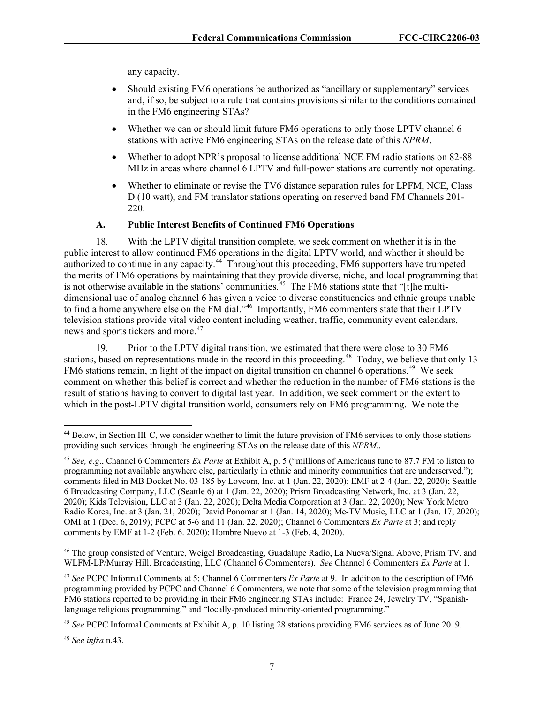any capacity.

- Should existing FM6 operations be authorized as "ancillary or supplementary" services and, if so, be subject to a rule that contains provisions similar to the conditions contained in the FM6 engineering STAs?
- Whether we can or should limit future FM6 operations to only those LPTV channel 6 stations with active FM6 engineering STAs on the release date of this *NPRM*.
- Whether to adopt NPR's proposal to license additional NCE FM radio stations on 82-88 MHz in areas where channel 6 LPTV and full-power stations are currently not operating.
- Whether to eliminate or revise the TV6 distance separation rules for LPFM, NCE, Class D (10 watt), and FM translator stations operating on reserved band FM Channels 201- 220.

## **A. Public Interest Benefits of Continued FM6 Operations**

18. With the LPTV digital transition complete, we seek comment on whether it is in the public interest to allow continued FM6 operations in the digital LPTV world, and whether it should be authorized to continue in any capacity.<sup>[44](#page-7-0)</sup> Throughout this proceeding, FM6 supporters have trumpeted the merits of FM6 operations by maintaining that they provide diverse, niche, and local programming that is not otherwise available in the stations' communities.<sup>45</sup> The FM6 stations state that "[t]he multidimensional use of analog channel 6 has given a voice to diverse constituencies and ethnic groups unable to find a home anywhere else on the FM dial."<sup>[46](#page-7-2)</sup> Importantly, FM6 commenters state that their LPTV television stations provide vital video content including weather, traffic, community event calendars, news and sports tickers and more.<sup>[47](#page-7-3)</sup>

19. Prior to the LPTV digital transition, we estimated that there were close to 30 FM6 stations, based on representations made in the record in this proceeding.<sup>[48](#page-7-4)</sup> Today, we believe that only 13 FM6 stations remain, in light of the impact on digital transition on channel 6 operations.<sup>49</sup> We seek comment on whether this belief is correct and whether the reduction in the number of FM6 stations is the result of stations having to convert to digital last year. In addition, we seek comment on the extent to which in the post-LPTV digital transition world, consumers rely on FM6 programming. We note the

<span id="page-7-2"></span><sup>46</sup> The group consisted of Venture, Weigel Broadcasting, Guadalupe Radio, La Nueva/Signal Above, Prism TV, and WLFM-LP/Murray Hill. Broadcasting, LLC (Channel 6 Commenters). *See* Channel 6 Commenters *Ex Parte* at 1.

<span id="page-7-3"></span><sup>47</sup> *See* PCPC Informal Comments at 5; Channel 6 Commenters *Ex Parte* at 9. In addition to the description of FM6 programming provided by PCPC and Channel 6 Commenters, we note that some of the television programming that FM6 stations reported to be providing in their FM6 engineering STAs include: France 24, Jewelry TV, "Spanishlanguage religious programming," and "locally-produced minority-oriented programming."

<span id="page-7-5"></span><sup>49</sup> *See infra* n.43.

<span id="page-7-0"></span><sup>&</sup>lt;sup>44</sup> Below, in Section III-C, we consider whether to limit the future provision of FM6 services to only those stations providing such services through the engineering STAs on the release date of this *NPRM.*.

<span id="page-7-1"></span><sup>45</sup> *See, e.g*., Channel 6 Commenters *Ex Parte* at Exhibit A, p. 5 ("millions of Americans tune to 87.7 FM to listen to programming not available anywhere else, particularly in ethnic and minority communities that are underserved."); comments filed in MB Docket No. 03-185 by Lovcom, Inc. at 1 (Jan. 22, 2020); EMF at 2-4 (Jan. 22, 2020); Seattle 6 Broadcasting Company, LLC (Seattle 6) at 1 (Jan. 22, 2020); Prism Broadcasting Network, Inc. at 3 (Jan. 22, 2020); Kids Television, LLC at 3 (Jan. 22, 2020); Delta Media Corporation at 3 (Jan. 22, 2020); New York Metro Radio Korea, Inc. at 3 (Jan. 21, 2020); David Ponomar at 1 (Jan. 14, 2020); Me-TV Music, LLC at 1 (Jan. 17, 2020); OMI at 1 (Dec. 6, 2019); PCPC at 5-6 and 11 (Jan. 22, 2020); Channel 6 Commenters *Ex Parte* at 3; and reply comments by EMF at 1-2 (Feb. 6. 2020); Hombre Nuevo at 1-3 (Feb. 4, 2020).

<span id="page-7-4"></span><sup>48</sup> *See* PCPC Informal Comments at Exhibit A, p. 10 listing 28 stations providing FM6 services as of June 2019.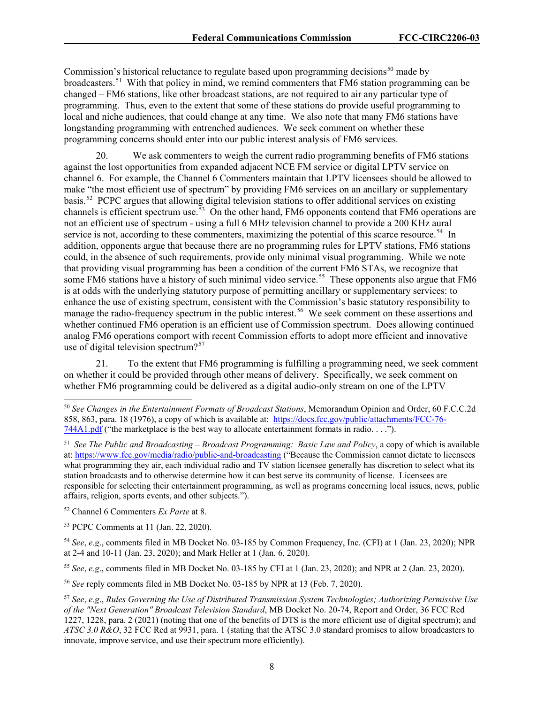Commission's historical reluctance to regulate based upon programming decisions<sup>[50](#page-8-0)</sup> made by broadcasters.<sup>[51](#page-8-1)</sup> With that policy in mind, we remind commenters that FM6 station programming can be changed – FM6 stations, like other broadcast stations, are not required to air any particular type of programming. Thus, even to the extent that some of these stations do provide useful programming to local and niche audiences, that could change at any time. We also note that many FM6 stations have longstanding programming with entrenched audiences. We seek comment on whether these programming concerns should enter into our public interest analysis of FM6 services.

20. We ask commenters to weigh the current radio programming benefits of FM6 stations against the lost opportunities from expanded adjacent NCE FM service or digital LPTV service on channel 6. For example, the Channel 6 Commenters maintain that LPTV licensees should be allowed to make "the most efficient use of spectrum" by providing FM6 services on an ancillary or supplementary basis.[52](#page-8-2) PCPC argues that allowing digital television stations to offer additional services on existing channels is efficient spectrum use.<sup>53</sup> On the other hand, FM6 opponents contend that FM6 operations are not an efficient use of spectrum - using a full 6 MHz television channel to provide a 200 KHz aural service is not, according to these commenters, maximizing the potential of this scarce resource.<sup>54</sup> In addition, opponents argue that because there are no programming rules for LPTV stations, FM6 stations could, in the absence of such requirements, provide only minimal visual programming. While we note that providing visual programming has been a condition of the current FM6 STAs, we recognize that some FM6 stations have a history of such minimal video service.<sup>55</sup> These opponents also argue that FM6 is at odds with the underlying statutory purpose of permitting ancillary or supplementary services: to enhance the use of existing spectrum, consistent with the Commission's basic statutory responsibility to manage the radio-frequency spectrum in the public interest.<sup>56</sup> We seek comment on these assertions and whether continued FM6 operation is an efficient use of Commission spectrum. Does allowing continued analog FM6 operations comport with recent Commission efforts to adopt more efficient and innovative use of digital television spectrum?<sup>[57](#page-8-7)</sup>

21. To the extent that FM6 programming is fulfilling a programming need, we seek comment on whether it could be provided through other means of delivery. Specifically, we seek comment on whether FM6 programming could be delivered as a digital audio-only stream on one of the LPTV

<span id="page-8-2"></span><sup>52</sup> Channel 6 Commenters *Ex Parte* at 8.

<span id="page-8-3"></span><sup>53</sup> PCPC Comments at 11 (Jan. 22, 2020).

<span id="page-8-4"></span><sup>54</sup> *See*, *e.g*., comments filed in MB Docket No. 03-185 by Common Frequency, Inc. (CFI) at 1 (Jan. 23, 2020); NPR at 2-4 and 10-11 (Jan. 23, 2020); and Mark Heller at 1 (Jan. 6, 2020).

<span id="page-8-5"></span><sup>55</sup> *See*, *e.g*., comments filed in MB Docket No. 03-185 by CFI at 1 (Jan. 23, 2020); and NPR at 2 (Jan. 23, 2020).

<span id="page-8-6"></span><sup>56</sup> *See* reply comments filed in MB Docket No. 03-185 by NPR at 13 (Feb. 7, 2020).

<span id="page-8-0"></span><sup>50</sup> *See Changes in the Entertainment Formats of Broadcast Stations*, Memorandum Opinion and Order, 60 F.C.C.2d 858, 863, para. 18 (1976), a copy of which is available at: [https://docs.fcc.gov/public/attachments/FCC-76-](https://docs.fcc.gov/public/attachments/FCC-76-744A1.pdf) [744A1.pdf](https://docs.fcc.gov/public/attachments/FCC-76-744A1.pdf) ("the marketplace is the best way to allocate entertainment formats in radio. . . .").

<span id="page-8-1"></span><sup>51</sup> *See The Public and Broadcasting – Broadcast Programming: Basic Law and Policy*, a copy of which is available at:<https://www.fcc.gov/media/radio/public-and-broadcasting> ("Because the Commission cannot dictate to licensees what programming they air, each individual radio and TV station licensee generally has discretion to select what its station broadcasts and to otherwise determine how it can best serve its community of license. Licensees are responsible for selecting their entertainment programming, as well as programs concerning local issues, news, public affairs, religion, sports events, and other subjects.").

<span id="page-8-7"></span><sup>57</sup> *See*, *e.g*., *Rules Governing the Use of Distributed Transmission System Technologies; Authorizing Permissive Use of the "Next Generation" Broadcast Television Standard*, MB Docket No. 20-74, Report and Order, 36 FCC Rcd 1227, 1228, para. 2 (2021) (noting that one of the benefits of DTS is the more efficient use of digital spectrum); and *ATSC 3.0 R&O*, 32 FCC Rcd at 9931, para. 1 (stating that the ATSC 3.0 standard promises to allow broadcasters to innovate, improve service, and use their spectrum more efficiently).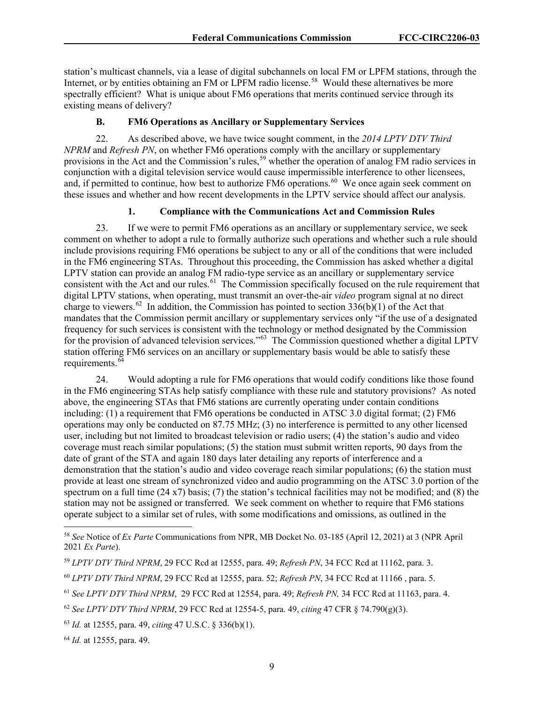station's multicast channels, via a lease of digital subchannels on local FM or LPFM stations, through the Internet, or by entities obtaining an FM or LPFM radio license.<sup>58</sup> Would these alternatives be more spectrally efficient? What is unique about FM6 operations that merits continued service through its existing means of delivery?

### **B. FM6 Operations as Ancillary or Supplementary Services**

22. As described above, we have twice sought comment, in the *2014 LPTV DTV Third NPRM* and *Refresh PN*, on whether FM6 operations comply with the ancillary or supplementary provisions in the Act and the Commission's rules,<sup>[59](#page-9-1)</sup> whether the operation of analog FM radio services in conjunction with a digital television service would cause impermissible interference to other licensees, and, if permitted to continue, how best to authorize FM6 operations.<sup>60</sup> We once again seek comment on these issues and whether and how recent developments in the LPTV service should affect our analysis.

#### **1. Compliance with the Communications Act and Commission Rules**

23. If we were to permit FM6 operations as an ancillary or supplementary service, we seek comment on whether to adopt a rule to formally authorize such operations and whether such a rule should include provisions requiring FM6 operations be subject to any or all of the conditions that were included in the FM6 engineering STAs. Throughout this proceeding, the Commission has asked whether a digital LPTV station can provide an analog FM radio-type service as an ancillary or supplementary service consistent with the Act and our rules.<sup>61</sup> The Commission specifically focused on the rule requirement that digital LPTV stations, when operating, must transmit an over-the-air *video* program signal at no direct charge to viewers.<sup>62</sup> In addition, the Commission has pointed to section  $336(b)(1)$  of the Act that mandates that the Commission permit ancillary or supplementary services only "if the use of a designated frequency for such services is consistent with the technology or method designated by the Commission for the provision of advanced television services."<sup>[63](#page-9-5)</sup> The Commission questioned whether a digital LPTV station offering FM6 services on an ancillary or supplementary basis would be able to satisfy these requirements. $64$ 

24. Would adopting a rule for FM6 operations that would codify conditions like those found in the FM6 engineering STAs help satisfy compliance with these rule and statutory provisions? As noted above, the engineering STAs that FM6 stations are currently operating under contain conditions including: (1) a requirement that FM6 operations be conducted in ATSC 3.0 digital format; (2) FM6 operations may only be conducted on 87.75 MHz; (3) no interference is permitted to any other licensed user, including but not limited to broadcast television or radio users; (4) the station's audio and video coverage must reach similar populations; (5) the station must submit written reports, 90 days from the date of grant of the STA and again 180 days later detailing any reports of interference and a demonstration that the station's audio and video coverage reach similar populations; (6) the station must provide at least one stream of synchronized video and audio programming on the ATSC 3.0 portion of the spectrum on a full time (24 x7) basis; (7) the station's technical facilities may not be modified; and (8) the station may not be assigned or transferred. We seek comment on whether to require that FM6 stations operate subject to a similar set of rules, with some modifications and omissions, as outlined in the

<span id="page-9-0"></span><sup>58</sup> *See* Notice of *Ex Parte* Communications from NPR, MB Docket No. 03-185 (April 12, 2021) at 3 (NPR April 2021 *Ex Parte*).

<span id="page-9-1"></span><sup>59</sup> *LPTV DTV Third NPRM*, 29 FCC Rcd at 12555, para. 49; *Refresh PN*, 34 FCC Rcd at 11162, para. 3.

<span id="page-9-2"></span><sup>60</sup> *LPTV DTV Third NPRM*, 29 FCC Rcd at 12555, para. 52; *Refresh PN*, 34 FCC Rcd at 11166 , para. 5.

<span id="page-9-3"></span><sup>61</sup> *See LPTV DTV Third NPRM*, 29 FCC Rcd at 12554, para. 49; *Refresh PN,* 34 FCC Rcd at 11163, para. 4.

<span id="page-9-4"></span><sup>62</sup> *See LPTV DTV Third NPRM*, 29 FCC Rcd at 12554-5, para. 49, *citing* 47 CFR § 74.790(g)(3).

<span id="page-9-5"></span><sup>63</sup> *Id.* at 12555, para. 49, *citing* 47 U.S.C. § 336(b)(1).

<span id="page-9-6"></span><sup>64</sup> *Id.* at 12555, para. 49.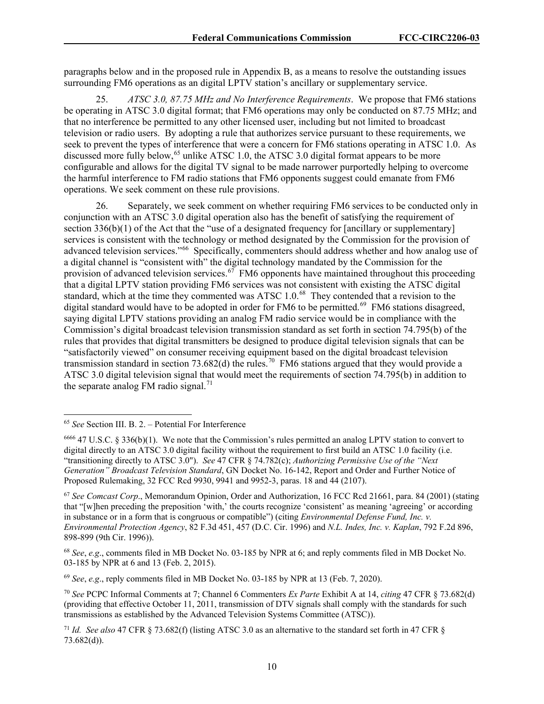paragraphs below and in the proposed rule in Appendix B, as a means to resolve the outstanding issues surrounding FM6 operations as an digital LPTV station's ancillary or supplementary service.

25. *ATSC 3.0, 87.75 MHz and No Interference Requirements*. We propose that FM6 stations be operating in ATSC 3.0 digital format; that FM6 operations may only be conducted on 87.75 MHz; and that no interference be permitted to any other licensed user, including but not limited to broadcast television or radio users. By adopting a rule that authorizes service pursuant to these requirements, we seek to prevent the types of interference that were a concern for FM6 stations operating in ATSC 1.0. As discussed more fully below,<sup>[65](#page-10-0)</sup> unlike ATSC 1.0, the ATSC 3.0 digital format appears to be more configurable and allows for the digital TV signal to be made narrower purportedly helping to overcome the harmful interference to FM radio stations that FM6 opponents suggest could emanate from FM6 operations. We seek comment on these rule provisions.

26. Separately, we seek comment on whether requiring FM6 services to be conducted only in conjunction with an ATSC 3.0 digital operation also has the benefit of satisfying the requirement of section 336(b)(1) of the Act that the "use of a designated frequency for [ancillary or supplementary] services is consistent with the technology or method designated by the Commission for the provision of advanced television services."[66](#page-10-1) Specifically, commenters should address whether and how analog use of a digital channel is "consistent with" the digital technology mandated by the Commission for the provision of advanced television services.<sup>67</sup> FM6 opponents have maintained throughout this proceeding that a digital LPTV station providing FM6 services was not consistent with existing the ATSC digital standard, which at the time they commented was ATSC 1.0.<sup>[68](#page-10-3)</sup> They contended that a revision to the digital standard would have to be adopted in order for FM6 to be permitted.<sup>69</sup> FM6 stations disagreed, saying digital LPTV stations providing an analog FM radio service would be in compliance with the Commission's digital broadcast television transmission standard as set forth in section 74.795(b) of the rules that provides that digital transmitters be designed to produce digital television signals that can be "satisfactorily viewed" on consumer receiving equipment based on the digital broadcast television transmission standard in section 73.682(d) the rules.<sup>[70](#page-10-5)</sup> FM6 stations argued that they would provide a ATSC 3.0 digital television signal that would meet the requirements of section 74.795(b) in addition to the separate analog FM radio signal.<sup>[71](#page-10-6)</sup>

<span id="page-10-4"></span><sup>69</sup> *See*, *e.g*., reply comments filed in MB Docket No. 03-185 by NPR at 13 (Feb. 7, 2020).

<span id="page-10-0"></span><sup>65</sup> *See* Section III. B. 2. – Potential For Interference

<span id="page-10-1"></span><sup>6666</sup> 47 U.S.C. § 336(b)(1). We note that the Commission's rules permitted an analog LPTV station to convert to digital directly to an ATSC 3.0 digital facility without the requirement to first build an ATSC 1.0 facility (i.e. "transitioning directly to ATSC 3.0"). *See* 47 CFR § 74.782(c); *Authorizing Permissive Use of the "Next Generation" Broadcast Television Standard*, GN Docket No. 16-142, Report and Order and Further Notice of Proposed Rulemaking, 32 FCC Rcd 9930, 9941 and 9952-3, paras. 18 and 44 (2107).

<span id="page-10-2"></span><sup>67</sup> *See Comcast Corp*., Memorandum Opinion, Order and Authorization, 16 FCC Rcd 21661, para. 84 (2001) (stating that "[w]hen preceding the preposition 'with,' the courts recognize 'consistent' as meaning 'agreeing' or according in substance or in a form that is congruous or compatible") (citing *Environmental Defense Fund, Inc. v. Environmental Protection Agency*, 82 F.3d 451, 457 (D.C. Cir. 1996) and *N.L. Indes, Inc. v. Kaplan*, 792 F.2d 896, 898-899 (9th Cir. 1996)).

<span id="page-10-3"></span><sup>68</sup> *See*, *e.g*., comments filed in MB Docket No. 03-185 by NPR at 6; and reply comments filed in MB Docket No. 03-185 by NPR at 6 and 13 (Feb. 2, 2015).

<span id="page-10-5"></span><sup>70</sup> *See* PCPC Informal Comments at 7; Channel 6 Commenters *Ex Parte* Exhibit A at 14, *citing* 47 CFR § 73.682(d) (providing that effective October 11, 2011, transmission of DTV signals shall comply with the standards for such transmissions as established by the Advanced Television Systems Committee (ATSC)).

<span id="page-10-6"></span><sup>71</sup> *Id. See also* 47 CFR § 73.682(f) (listing ATSC 3.0 as an alternative to the standard set forth in 47 CFR § 73.682(d)).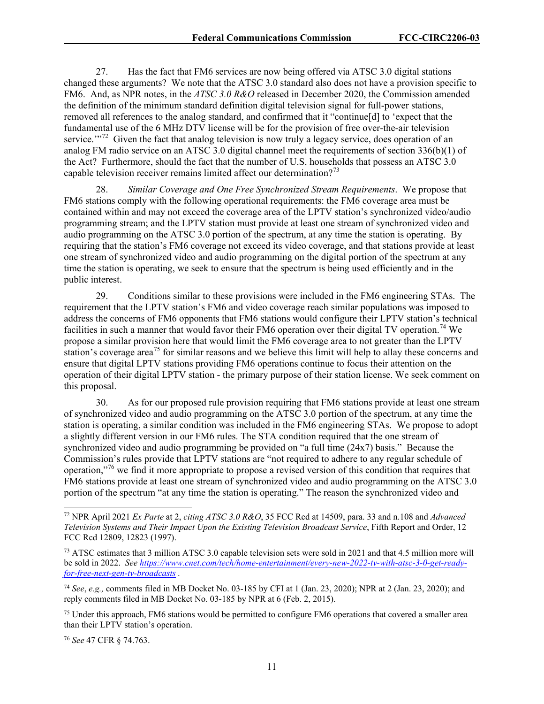27. Has the fact that FM6 services are now being offered via ATSC 3.0 digital stations changed these arguments? We note that the ATSC 3.0 standard also does not have a provision specific to FM6. And, as NPR notes, in the *ATSC 3.0 R&O* released in December 2020, the Commission amended the definition of the minimum standard definition digital television signal for full-power stations, removed all references to the analog standard, and confirmed that it "continue[d] to 'expect that the fundamental use of the 6 MHz DTV license will be for the provision of free over-the-air television service."<sup> $2$ </sup> Given the fact that analog television is now truly a legacy service, does operation of an analog FM radio service on an ATSC 3.0 digital channel meet the requirements of section 336(b)(1) of the Act? Furthermore, should the fact that the number of U.S. households that possess an ATSC 3.0 capable television receiver remains limited affect our determination?<sup>[73](#page-11-1)</sup>

28. *Similar Coverage and One Free Synchronized Stream Requirements*. We propose that FM6 stations comply with the following operational requirements: the FM6 coverage area must be contained within and may not exceed the coverage area of the LPTV station's synchronized video/audio programming stream; and the LPTV station must provide at least one stream of synchronized video and audio programming on the ATSC 3.0 portion of the spectrum, at any time the station is operating. By requiring that the station's FM6 coverage not exceed its video coverage, and that stations provide at least one stream of synchronized video and audio programming on the digital portion of the spectrum at any time the station is operating, we seek to ensure that the spectrum is being used efficiently and in the public interest.

29. Conditions similar to these provisions were included in the FM6 engineering STAs. The requirement that the LPTV station's FM6 and video coverage reach similar populations was imposed to address the concerns of FM6 opponents that FM6 stations would configure their LPTV station's technical facilities in such a manner that would favor their FM6 operation over their digital TV operation.<sup>[74](#page-11-2)</sup> We propose a similar provision here that would limit the FM6 coverage area to not greater than the LPTV station's coverage area<sup>[75](#page-11-3)</sup> for similar reasons and we believe this limit will help to allay these concerns and ensure that digital LPTV stations providing FM6 operations continue to focus their attention on the operation of their digital LPTV station - the primary purpose of their station license. We seek comment on this proposal.

30. As for our proposed rule provision requiring that FM6 stations provide at least one stream of synchronized video and audio programming on the ATSC 3.0 portion of the spectrum, at any time the station is operating, a similar condition was included in the FM6 engineering STAs. We propose to adopt a slightly different version in our FM6 rules. The STA condition required that the one stream of synchronized video and audio programming be provided on "a full time (24x7) basis." Because the Commission's rules provide that LPTV stations are "not required to adhere to any regular schedule of operation,"[76](#page-11-4) we find it more appropriate to propose a revised version of this condition that requires that FM6 stations provide at least one stream of synchronized video and audio programming on the ATSC 3.0 portion of the spectrum "at any time the station is operating." The reason the synchronized video and

<span id="page-11-3"></span><sup>75</sup> Under this approach, FM6 stations would be permitted to configure FM6 operations that covered a smaller area than their LPTV station's operation.

<span id="page-11-4"></span><sup>76</sup> *See* 47 CFR § 74.763.

<span id="page-11-0"></span><sup>72</sup> NPR April 2021 *Ex Parte* at 2, *citing ATSC 3.0 R&O*, 35 FCC Rcd at 14509, para. 33 and n.108 and *Advanced Television Systems and Their Impact Upon the Existing Television Broadcast Service*, Fifth Report and Order, 12 FCC Rcd 12809, 12823 (1997).

<span id="page-11-1"></span><sup>73</sup> ATSC estimates that 3 million ATSC 3.0 capable television sets were sold in 2021 and that 4.5 million more will be sold in 2022. *See [https://www.cnet.com/tech/home-entertainment/every-new-2022-tv-with-atsc-3-0-get-ready](https://www.cnet.com/tech/home-entertainment/every-new-2022-tv-with-atsc-3-0-get-ready-for-free-next-gen-tv-broadcasts)[for-free-next-gen-tv-broadcasts](https://www.cnet.com/tech/home-entertainment/every-new-2022-tv-with-atsc-3-0-get-ready-for-free-next-gen-tv-broadcasts) .*

<span id="page-11-2"></span><sup>74</sup> *See*, *e.g.,* comments filed in MB Docket No. 03-185 by CFI at 1 (Jan. 23, 2020); NPR at 2 (Jan. 23, 2020); and reply comments filed in MB Docket No. 03-185 by NPR at 6 (Feb. 2, 2015).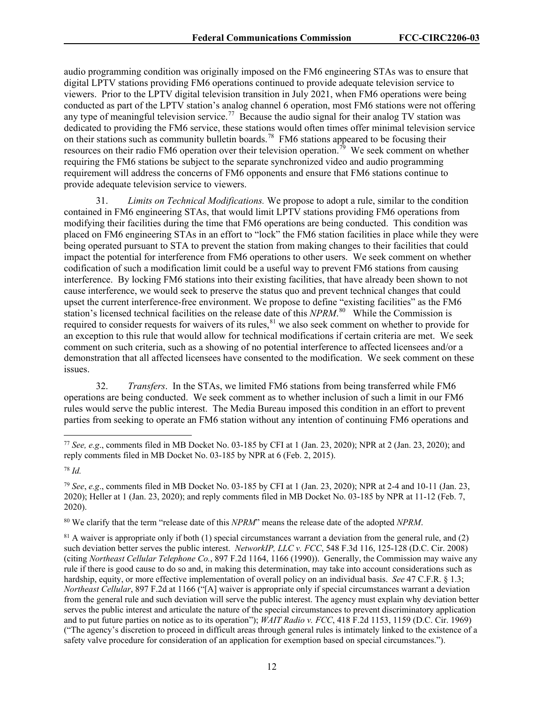audio programming condition was originally imposed on the FM6 engineering STAs was to ensure that digital LPTV stations providing FM6 operations continued to provide adequate television service to viewers. Prior to the LPTV digital television transition in July 2021, when FM6 operations were being conducted as part of the LPTV station's analog channel 6 operation, most FM6 stations were not offering any type of meaningful television service.<sup>[77](#page-12-0)</sup> Because the audio signal for their analog TV station was dedicated to providing the FM6 service, these stations would often times offer minimal television service on their stations such as community bulletin boards.<sup>78</sup> FM6 stations appeared to be focusing their resources on their radio FM6 operation over their television operation.<sup>[79](#page-12-2)</sup> We seek comment on whether requiring the FM6 stations be subject to the separate synchronized video and audio programming requirement will address the concerns of FM6 opponents and ensure that FM6 stations continue to provide adequate television service to viewers.

31. *Limits on Technical Modifications.* We propose to adopt a rule, similar to the condition contained in FM6 engineering STAs, that would limit LPTV stations providing FM6 operations from modifying their facilities during the time that FM6 operations are being conducted. This condition was placed on FM6 engineering STAs in an effort to "lock" the FM6 station facilities in place while they were being operated pursuant to STA to prevent the station from making changes to their facilities that could impact the potential for interference from FM6 operations to other users. We seek comment on whether codification of such a modification limit could be a useful way to prevent FM6 stations from causing interference. By locking FM6 stations into their existing facilities, that have already been shown to not cause interference, we would seek to preserve the status quo and prevent technical changes that could upset the current interference-free environment. We propose to define "existing facilities" as the FM6 station's licensed technical facilities on the release date of this *NPRM*. [80](#page-12-3) While the Commission is required to consider requests for waivers of its rules,<sup>[81](#page-12-4)</sup> we also seek comment on whether to provide for an exception to this rule that would allow for technical modifications if certain criteria are met. We seek comment on such criteria, such as a showing of no potential interference to affected licensees and/or a demonstration that all affected licensees have consented to the modification. We seek comment on these issues.

32. *Transfers*. In the STAs, we limited FM6 stations from being transferred while FM6 operations are being conducted. We seek comment as to whether inclusion of such a limit in our FM6 rules would serve the public interest. The Media Bureau imposed this condition in an effort to prevent parties from seeking to operate an FM6 station without any intention of continuing FM6 operations and

<span id="page-12-3"></span><sup>80</sup> We clarify that the term "release date of this *NPRM*" means the release date of the adopted *NPRM*.

<span id="page-12-4"></span> $81$  A waiver is appropriate only if both (1) special circumstances warrant a deviation from the general rule, and (2) such deviation better serves the public interest. *NetworkIP, LLC v. FCC*, 548 F.3d 116, 125-128 (D.C. Cir. 2008) (citing *Northeast Cellular Telephone Co.*, 897 F.2d 1164, 1166 (1990)). Generally, the Commission may waive any rule if there is good cause to do so and, in making this determination, may take into account considerations such as hardship, equity, or more effective implementation of overall policy on an individual basis. *See* [47 C.F.R. § 1.3;](https://1.next.westlaw.com/Link/Document/FullText?findType=L&pubNum=1000547&cite=47CFRS1.3&originatingDoc=I951a1b81b05011dba10be1078cee05f1&refType=LQ&originationContext=document&transitionType=DocumentItem&ppcid=fd10b7893a5c465f8de6a4c6610bb52a&contextData=(sc.Search)) *Northeast Cellular*, 897 F.2d at 1166 ("[A] waiver is appropriate only if special circumstances warrant a deviation from the general rule and such deviation will serve the public interest. The agency must explain why deviation better serves the public interest and articulate the nature of the special circumstances to prevent discriminatory application and to put future parties on notice as to its operation"); *WAIT Radio v. FCC*, 418 F.2d 1153, 1159 (D.C. Cir. 1969) ("The agency's discretion to proceed in difficult areas through general rules is intimately linked to the existence of a safety valve procedure for consideration of an application for exemption based on special circumstances.").

<span id="page-12-0"></span><sup>77</sup> *See, e.g*., comments filed in MB Docket No. 03-185 by CFI at 1 (Jan. 23, 2020); NPR at 2 (Jan. 23, 2020); and reply comments filed in MB Docket No. 03-185 by NPR at 6 (Feb. 2, 2015).

<span id="page-12-1"></span><sup>78</sup> *Id.*

<span id="page-12-2"></span><sup>79</sup> *See*, *e.g*., comments filed in MB Docket No. 03-185 by CFI at 1 (Jan. 23, 2020); NPR at 2-4 and 10-11 (Jan. 23, 2020); Heller at 1 (Jan. 23, 2020); and reply comments filed in MB Docket No. 03-185 by NPR at 11-12 (Feb. 7, 2020).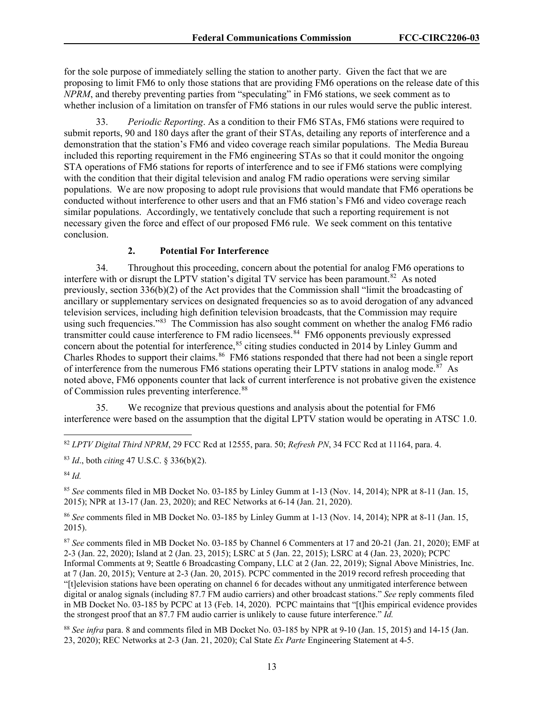for the sole purpose of immediately selling the station to another party. Given the fact that we are proposing to limit FM6 to only those stations that are providing FM6 operations on the release date of this *NPRM*, and thereby preventing parties from "speculating" in FM6 stations, we seek comment as to whether inclusion of a limitation on transfer of FM6 stations in our rules would serve the public interest.

33. *Periodic Reporting*. As a condition to their FM6 STAs, FM6 stations were required to submit reports, 90 and 180 days after the grant of their STAs, detailing any reports of interference and a demonstration that the station's FM6 and video coverage reach similar populations. The Media Bureau included this reporting requirement in the FM6 engineering STAs so that it could monitor the ongoing STA operations of FM6 stations for reports of interference and to see if FM6 stations were complying with the condition that their digital television and analog FM radio operations were serving similar populations. We are now proposing to adopt rule provisions that would mandate that FM6 operations be conducted without interference to other users and that an FM6 station's FM6 and video coverage reach similar populations. Accordingly, we tentatively conclude that such a reporting requirement is not necessary given the force and effect of our proposed FM6 rule. We seek comment on this tentative conclusion.

# **2. Potential For Interference**

34. Throughout this proceeding, concern about the potential for analog FM6 operations to interfere with or disrupt the LPTV station's digital TV service has been paramount.<sup>[82](#page-13-0)</sup> As noted previously, section 336(b)(2) of the Act provides that the Commission shall "limit the broadcasting of ancillary or supplementary services on designated frequencies so as to avoid derogation of any advanced television services, including high definition television broadcasts, that the Commission may require using such frequencies."<sup>[83](#page-13-1)</sup> The Commission has also sought comment on whether the analog FM6 radio transmitter could cause interference to FM radio licensees.<sup>[84](#page-13-2)</sup> FM6 opponents previously expressed concern about the potential for interference,<sup>[85](#page-13-3)</sup> citing studies conducted in 2014 by Linley Gumm and Charles Rhodes to support their claims.<sup>[86](#page-13-4)</sup> FM6 stations responded that there had not been a single report of interference from the numerous FM6 stations operating their LPTV stations in analog mode.<sup>[87](#page-13-5)</sup> As noted above, FM6 opponents counter that lack of current interference is not probative given the existence of Commission rules preventing interference.<sup>[88](#page-13-6)</sup>

35. We recognize that previous questions and analysis about the potential for FM6 interference were based on the assumption that the digital LPTV station would be operating in ATSC 1.0.

<span id="page-13-2"></span><sup>84</sup> *Id.*

<span id="page-13-3"></span><sup>85</sup> *See* comments filed in MB Docket No. 03-185 by Linley Gumm at 1-13 (Nov. 14, 2014); NPR at 8-11 (Jan. 15, 2015); NPR at 13-17 (Jan. 23, 2020); and REC Networks at 6-14 (Jan. 21, 2020).

<span id="page-13-4"></span><sup>86</sup> *See* comments filed in MB Docket No. 03-185 by Linley Gumm at 1-13 (Nov. 14, 2014); NPR at 8-11 (Jan. 15, 2015).

<span id="page-13-5"></span><sup>87</sup> *See* comments filed in MB Docket No. 03-185 by Channel 6 Commenters at 17 and 20-21 (Jan. 21, 2020); EMF at 2-3 (Jan. 22, 2020); Island at 2 (Jan. 23, 2015); LSRC at 5 (Jan. 22, 2015); LSRC at 4 (Jan. 23, 2020); PCPC Informal Comments at 9; Seattle 6 Broadcasting Company, LLC at 2 (Jan. 22, 2019); Signal Above Ministries, Inc. at 7 (Jan. 20, 2015); Venture at 2-3 (Jan. 20, 2015). PCPC commented in the 2019 record refresh proceeding that "[t]elevision stations have been operating on channel 6 for decades without any unmitigated interference between digital or analog signals (including 87.7 FM audio carriers) and other broadcast stations." *See* reply comments filed in MB Docket No. 03-185 by PCPC at 13 (Feb. 14, 2020). PCPC maintains that "[t]his empirical evidence provides the strongest proof that an 87.7 FM audio carrier is unlikely to cause future interference." *Id.*

<span id="page-13-6"></span><sup>88</sup> See infra para. 8 and comments filed in MB Docket No. 03-185 by NPR at 9-10 (Jan. 15, 2015) and 14-15 (Jan. 23, 2020); REC Networks at 2-3 (Jan. 21, 2020); Cal State *Ex Parte* Engineering Statement at 4-5.

<span id="page-13-0"></span><sup>82</sup> *LPTV Digital Third NPRM*, 29 FCC Rcd at 12555, para. 50; *Refresh PN*, 34 FCC Rcd at 11164, para. 4.

<span id="page-13-1"></span><sup>83</sup> *Id*., both *citing* 47 U.S.C. § 336(b)(2).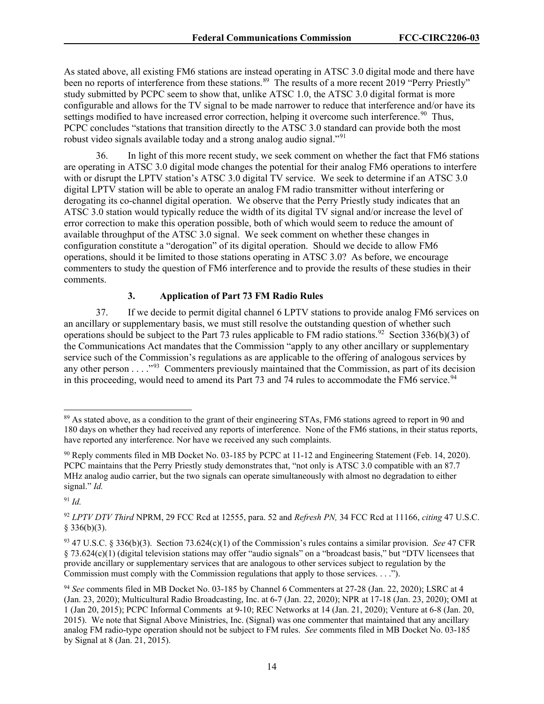As stated above, all existing FM6 stations are instead operating in ATSC 3.0 digital mode and there have been no reports of interference from these stations.<sup>[89](#page-14-0)</sup> The results of a more recent 2019 "Perry Priestly" study submitted by PCPC seem to show that, unlike ATSC 1.0, the ATSC 3.0 digital format is more configurable and allows for the TV signal to be made narrower to reduce that interference and/or have its settings modified to have increased error correction, helping it overcome such interference.<sup>90</sup> Thus, PCPC concludes "stations that transition directly to the ATSC 3.0 standard can provide both the most robust video signals available today and a strong analog audio signal."<sup>[91](#page-14-2)</sup>

36. In light of this more recent study, we seek comment on whether the fact that FM6 stations are operating in ATSC 3.0 digital mode changes the potential for their analog FM6 operations to interfere with or disrupt the LPTV station's ATSC 3.0 digital TV service. We seek to determine if an ATSC 3.0 digital LPTV station will be able to operate an analog FM radio transmitter without interfering or derogating its co-channel digital operation. We observe that the Perry Priestly study indicates that an ATSC 3.0 station would typically reduce the width of its digital TV signal and/or increase the level of error correction to make this operation possible, both of which would seem to reduce the amount of available throughput of the ATSC 3.0 signal. We seek comment on whether these changes in configuration constitute a "derogation" of its digital operation. Should we decide to allow FM6 operations, should it be limited to those stations operating in ATSC 3.0? As before, we encourage commenters to study the question of FM6 interference and to provide the results of these studies in their comments.

# **3. Application of Part 73 FM Radio Rules**

37. If we decide to permit digital channel 6 LPTV stations to provide analog FM6 services on an ancillary or supplementary basis, we must still resolve the outstanding question of whether such operations should be subject to the Part 73 rules applicable to FM radio stations.<sup>92</sup> Section 336(b)(3) of the Communications Act mandates that the Commission "apply to any other ancillary or supplementary service such of the Commission's regulations as are applicable to the offering of analogous services by any other person . . . . .<sup>93</sup> Commenters previously maintained that the Commission, as part of its decision in this proceeding, would need to amend its Part 73 and 74 rules to accommodate the FM6 service.<sup>[94](#page-14-5)</sup>

<span id="page-14-2"></span><sup>91</sup> *Id.*

<span id="page-14-0"></span><sup>89</sup> As stated above, as a condition to the grant of their engineering STAs, FM6 stations agreed to report in 90 and 180 days on whether they had received any reports of interference. None of the FM6 stations, in their status reports, have reported any interference. Nor have we received any such complaints.

<span id="page-14-1"></span><sup>90</sup> Reply comments filed in MB Docket No. 03-185 by PCPC at 11-12 and Engineering Statement (Feb. 14, 2020). PCPC maintains that the Perry Priestly study demonstrates that, "not only is ATSC 3.0 compatible with an 87.7 MHz analog audio carrier, but the two signals can operate simultaneously with almost no degradation to either signal." *Id.*

<span id="page-14-3"></span><sup>92</sup> *LPTV DTV Third* NPRM, 29 FCC Rcd at 12555, para. 52 and *Refresh PN,* 34 FCC Rcd at 11166, *citing* 47 U.S.C.  $§$  336(b)(3).

<span id="page-14-4"></span><sup>93</sup> 47 U.S.C. § 336(b)(3). Section 73.624(c)(1) of the Commission's rules contains a similar provision. *See* 47 CFR § 73.624(c)(1) (digital television stations may offer "audio signals" on a "broadcast basis," but "DTV licensees that provide ancillary or supplementary services that are analogous to other services subject to regulation by the Commission must comply with the Commission regulations that apply to those services. . . .").

<span id="page-14-5"></span><sup>94</sup> *See* comments filed in MB Docket No. 03-185 by Channel 6 Commenters at 27-28 (Jan. 22, 2020); LSRC at 4 (Jan. 23, 2020); Multicultural Radio Broadcasting, Inc. at 6-7 (Jan. 22, 2020); NPR at 17-18 (Jan. 23, 2020); OMI at 1 (Jan 20, 2015); PCPC Informal Comments at 9-10; REC Networks at 14 (Jan. 21, 2020); Venture at 6-8 (Jan. 20, 2015). We note that Signal Above Ministries, Inc. (Signal) was one commenter that maintained that any ancillary analog FM radio-type operation should not be subject to FM rules. *See* comments filed in MB Docket No. 03-185 by Signal at 8 (Jan. 21, 2015).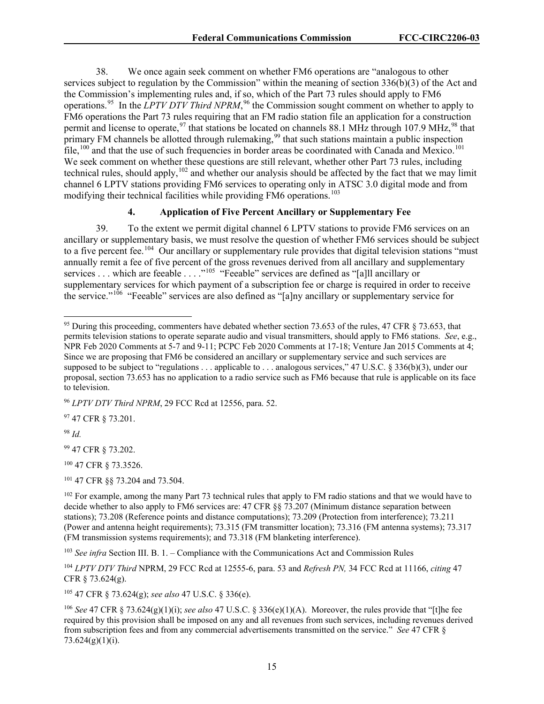38. We once again seek comment on whether FM6 operations are "analogous to other services subject to regulation by the Commission" within the meaning of section 336(b)(3) of the Act and the Commission's implementing rules and, if so, which of the Part 73 rules should apply to FM6 operations.<sup>[95](#page-15-0)</sup> In the *LPTV DTV Third NPRM*,<sup>[96](#page-15-1)</sup> the Commission sought comment on whether to apply to FM6 operations the Part 73 rules requiring that an FM radio station file an application for a construction permit and license to operate,<sup>[97](#page-15-2)</sup> that stations be located on channels 88.1 MHz through 107.9 MHz,<sup>[98](#page-15-3)</sup> that primary FM channels be allotted through rulemaking,<sup>[99](#page-15-4)</sup> that such stations maintain a public inspection  $\text{file},^{100}$  $\text{file},^{100}$  $\text{file},^{100}$  and that the use of such frequencies in border areas be coordinated with Canada and Mexico.<sup>[101](#page-15-6)</sup> We seek comment on whether these questions are still relevant, whether other Part 73 rules, including technical rules, should apply,<sup>[102](#page-15-7)</sup> and whether our analysis should be affected by the fact that we may limit channel 6 LPTV stations providing FM6 services to operating only in ATSC 3.0 digital mode and from modifying their technical facilities while providing FM6 operations.<sup>[103](#page-15-8)</sup>

## **4. Application of Five Percent Ancillary or Supplementary Fee**

39. To the extent we permit digital channel 6 LPTV stations to provide FM6 services on an ancillary or supplementary basis, we must resolve the question of whether FM6 services should be subject to a five percent fee.<sup>[104](#page-15-9)</sup> Our ancillary or supplementary rule provides that digital television stations "must" annually remit a fee of five percent of the gross revenues derived from all ancillary and supplementary services . . . which are feeable . . . . "<sup>[105](#page-15-10)</sup> "Feeable" services are defined as "[a]ll ancillary or supplementary services for which payment of a subscription fee or charge is required in order to receive the service."[106](#page-15-11) "Feeable" services are also defined as "[a]ny ancillary or supplementary service for

<span id="page-15-2"></span>97 47 CFR § 73.201.

<span id="page-15-3"></span><sup>98</sup> *Id.*

<span id="page-15-4"></span><sup>99</sup> 47 CFR § 73.202.

<span id="page-15-5"></span><sup>100</sup> 47 CFR § 73.3526.

<span id="page-15-6"></span><sup>101</sup> 47 CFR §§ 73.204 and 73.504.

<span id="page-15-8"></span><sup>103</sup> *See infra* Section III. B. 1. – Compliance with the Communications Act and Commission Rules

<span id="page-15-9"></span><sup>104</sup> *LPTV DTV Third* NPRM, 29 FCC Rcd at 12555-6, para. 53 and *Refresh PN,* 34 FCC Rcd at 11166, *citing* 47 CFR § 73.624(g).

<span id="page-15-10"></span><sup>105</sup> 47 CFR § 73.624(g); *see also* 47 U.S.C. § 336(e).

<span id="page-15-11"></span><sup>106</sup> *See* 47 CFR § 73.624(g)(1)(i); *see also* 47 U.S.C. § 336(e)(1)(A). Moreover, the rules provide that "[t]he fee required by this provision shall be imposed on any and all revenues from such services, including revenues derived from subscription fees and from any commercial advertisements transmitted on the service." *See* 47 CFR § 73.624(g)(1)(i).

<span id="page-15-0"></span><sup>&</sup>lt;sup>95</sup> During this proceeding, commenters have debated whether section 73.653 of the rules, 47 CFR § 73.653, that permits television stations to operate separate audio and visual transmitters, should apply to FM6 stations. *See*, e.g., NPR Feb 2020 Comments at 5-7 and 9-11; PCPC Feb 2020 Comments at 17-18; Venture Jan 2015 Comments at 4; Since we are proposing that FM6 be considered an ancillary or supplementary service and such services are supposed to be subject to "regulations . . . applicable to . . . analogous services," 47 U.S.C. § 336(b)(3), under our proposal, section 73.653 has no application to a radio service such as FM6 because that rule is applicable on its face to television.

<span id="page-15-1"></span><sup>96</sup> *LPTV DTV Third NPRM*, 29 FCC Rcd at 12556, para. 52.

<span id="page-15-7"></span> $102$  For example, among the many Part 73 technical rules that apply to FM radio stations and that we would have to decide whether to also apply to FM6 services are: 47 CFR §§ 73.207 (Minimum distance separation between stations); 73.208 (Reference points and distance computations); 73.209 (Protection from interference); 73.211 (Power and antenna height requirements); 73.315 (FM transmitter location); 73.316 (FM antenna systems); 73.317 (FM transmission systems requirements); and 73.318 (FM blanketing interference).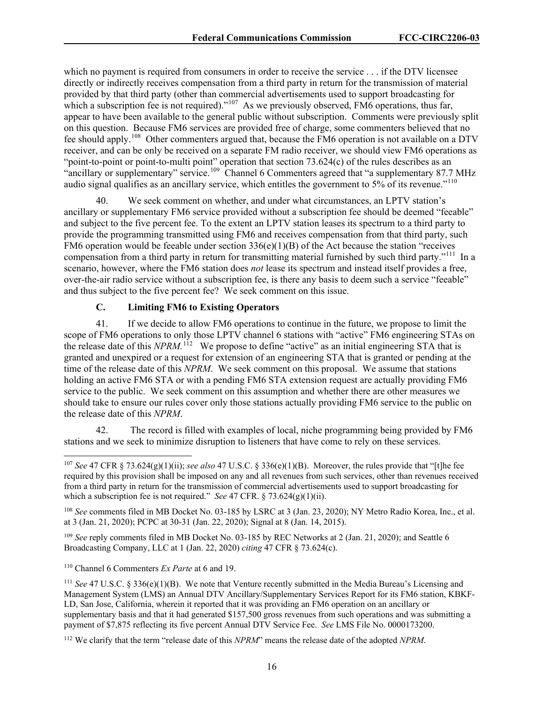which no payment is required from consumers in order to receive the service . . . if the DTV licensee directly or indirectly receives compensation from a third party in return for the transmission of material provided by that third party (other than commercial advertisements used to support broadcasting for which a subscription fee is not required)."<sup>107</sup> As we previously observed,  $\widehat{\text{FM6}}$  operations, thus far, appear to have been available to the general public without subscription. Comments were previously split on this question. Because FM6 services are provided free of charge, some commenters believed that no fee should apply.<sup>108</sup> Other commenters argued that, because the FM6 operation is not available on a DTV receiver, and can be only be received on a separate FM radio receiver, we should view FM6 operations as "point-to-point or point-to-multi point" operation that section 73.624(c) of the rules describes as an "ancillary or supplementary" service.<sup>[109](#page-16-2)</sup> Channel 6 Commenters agreed that "a supplementary 87.7 MHz audio signal qualifies as an ancillary service, which entitles the government to 5% of its revenue."<sup>[110](#page-16-3)</sup>

40. We seek comment on whether, and under what circumstances, an LPTV station's ancillary or supplementary FM6 service provided without a subscription fee should be deemed "feeable" and subject to the five percent fee. To the extent an LPTV station leases its spectrum to a third party to provide the programming transmitted using FM6 and receives compensation from that third party, such FM6 operation would be feeable under section  $336(e)(1)(B)$  of the Act because the station "receives" compensation from a third party in return for transmitting material furnished by such third party."<sup>111</sup> In a scenario, however, where the FM6 station does *not* lease its spectrum and instead itself provides a free, over-the-air radio service without a subscription fee, is there any basis to deem such a service "feeable" and thus subject to the five percent fee? We seek comment on this issue.

## **C. Limiting FM6 to Existing Operators**

41. If we decide to allow FM6 operations to continue in the future, we propose to limit the scope of FM6 operations to only those LPTV channel 6 stations with "active" FM6 engineering STAs on the release date of this *NPRM*.<sup>112</sup> We propose to define "active" as an initial engineering STA that is granted and unexpired or a request for extension of an engineering STA that is granted or pending at the time of the release date of this *NPRM*. We seek comment on this proposal. We assume that stations holding an active FM6 STA or with a pending FM6 STA extension request are actually providing FM6 service to the public. We seek comment on this assumption and whether there are other measures we should take to ensure our rules cover only those stations actually providing FM6 service to the public on the release date of this *NPRM*.

42. The record is filled with examples of local, niche programming being provided by FM6 stations and we seek to minimize disruption to listeners that have come to rely on these services.

<span id="page-16-0"></span><sup>107</sup> *See* 47 CFR § 73.624(g)(1)(ii); *see also* 47 U.S.C. § 336(e)(1)(B). Moreover, the rules provide that "[t]he fee required by this provision shall be imposed on any and all revenues from such services, other than revenues received from a third party in return for the transmission of commercial advertisements used to support broadcasting for which a subscription fee is not required." *See* 47 CFR. § 73.624(g)(1)(ii).

<span id="page-16-1"></span><sup>108</sup> *See* comments filed in MB Docket No. 03-185 by LSRC at 3 (Jan. 23, 2020); NY Metro Radio Korea, Inc., et al. at 3 (Jan. 21, 2020); PCPC at 30-31 (Jan. 22, 2020); Signal at 8 (Jan. 14, 2015).

<span id="page-16-2"></span><sup>&</sup>lt;sup>109</sup> *See* reply comments filed in MB Docket No. 03-185 by REC Networks at 2 (Jan. 21, 2020); and Seattle 6 Broadcasting Company, LLC at 1 (Jan. 22, 2020) *citing* 47 CFR § 73.624(c).

<span id="page-16-3"></span><sup>110</sup> Channel 6 Commenters *Ex Parte* at 6 and 19.

<span id="page-16-4"></span><sup>&</sup>lt;sup>111</sup> *See* 47 U.S.C. § 336(e)(1)(B). We note that Venture recently submitted in the Media Bureau's Licensing and Management System (LMS) an Annual DTV Ancillary/Supplementary Services Report for its FM6 station, KBKF-LD, San Jose, California, wherein it reported that it was providing an FM6 operation on an ancillary or supplementary basis and that it had generated \$157,500 gross revenues from such operations and was submitting a payment of \$7,875 reflecting its five percent Annual DTV Service Fee. *See* LMS File No. 0000173200.

<span id="page-16-5"></span><sup>112</sup> We clarify that the term "release date of this *NPRM*" means the release date of the adopted *NPRM*.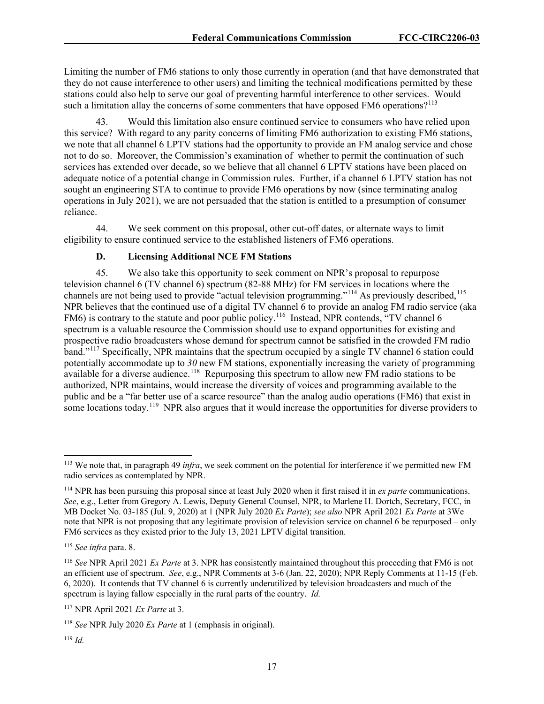Limiting the number of FM6 stations to only those currently in operation (and that have demonstrated that they do not cause interference to other users) and limiting the technical modifications permitted by these stations could also help to serve our goal of preventing harmful interference to other services. Would such a limitation allay the concerns of some commenters that have opposed FM6 operations?<sup>[113](#page-17-0)</sup>

43. Would this limitation also ensure continued service to consumers who have relied upon this service? With regard to any parity concerns of limiting FM6 authorization to existing FM6 stations, we note that all channel 6 LPTV stations had the opportunity to provide an FM analog service and chose not to do so. Moreover, the Commission's examination of whether to permit the continuation of such services has extended over decade, so we believe that all channel 6 LPTV stations have been placed on adequate notice of a potential change in Commission rules. Further, if a channel 6 LPTV station has not sought an engineering STA to continue to provide FM6 operations by now (since terminating analog operations in July 2021), we are not persuaded that the station is entitled to a presumption of consumer reliance.

44. We seek comment on this proposal, other cut-off dates, or alternate ways to limit eligibility to ensure continued service to the established listeners of FM6 operations.

# **D. Licensing Additional NCE FM Stations**

45. We also take this opportunity to seek comment on NPR's proposal to repurpose television channel 6 (TV channel 6) spectrum (82-88 MHz) for FM services in locations where the channels are not being used to provide "actual television programming."<sup>[114](#page-17-1)</sup> As previously described,<sup>[115](#page-17-2)</sup> NPR believes that the continued use of a digital TV channel 6 to provide an analog FM radio service (aka FM6) is contrary to the statute and poor public policy.<sup>[116](#page-17-3)</sup> Instead, NPR contends, "TV channel 6 spectrum is a valuable resource the Commission should use to expand opportunities for existing and prospective radio broadcasters whose demand for spectrum cannot be satisfied in the crowded FM radio band."[117](#page-17-4) Specifically, NPR maintains that the spectrum occupied by a single TV channel 6 station could potentially accommodate up to *30* new FM stations, exponentially increasing the variety of programming available for a diverse audience.<sup>[118](#page-17-5)</sup> Repurposing this spectrum to allow new FM radio stations to be authorized, NPR maintains, would increase the diversity of voices and programming available to the public and be a "far better use of a scarce resource" than the analog audio operations (FM6) that exist in some locations today.<sup>119</sup> NPR also argues that it would increase the opportunities for diverse providers to

<span id="page-17-0"></span><sup>113</sup> We note that, in paragraph 49 *infra*, we seek comment on the potential for interference if we permitted new FM radio services as contemplated by NPR.

<span id="page-17-1"></span><sup>114</sup> NPR has been pursuing this proposal since at least July 2020 when it first raised it in *ex parte* communications. *See*, e.g., Letter from Gregory A. Lewis, Deputy General Counsel, NPR, to Marlene H. Dortch, Secretary, FCC, in MB Docket No. 03-185 (Jul. 9, 2020) at 1 (NPR July 2020 *Ex Parte*); *see also* NPR April 2021 *Ex Parte* at 3We note that NPR is not proposing that any legitimate provision of television service on channel 6 be repurposed – only FM6 services as they existed prior to the July 13, 2021 LPTV digital transition.

<span id="page-17-2"></span><sup>115</sup> *See infra* para. 8.

<span id="page-17-3"></span><sup>116</sup> *See* NPR April 2021 *Ex Parte* at 3. NPR has consistently maintained throughout this proceeding that FM6 is not an efficient use of spectrum. *See*, e.g., NPR Comments at 3-6 (Jan. 22, 2020); NPR Reply Comments at 11-15 (Feb. 6, 2020). It contends that TV channel 6 is currently underutilized by television broadcasters and much of the spectrum is laying fallow especially in the rural parts of the country. *Id.*

<span id="page-17-4"></span><sup>117</sup> NPR April 2021 *Ex Parte* at 3.

<span id="page-17-5"></span><sup>118</sup> *See* NPR July 2020 *Ex Parte* at 1 (emphasis in original).

<span id="page-17-6"></span><sup>119</sup> *Id.*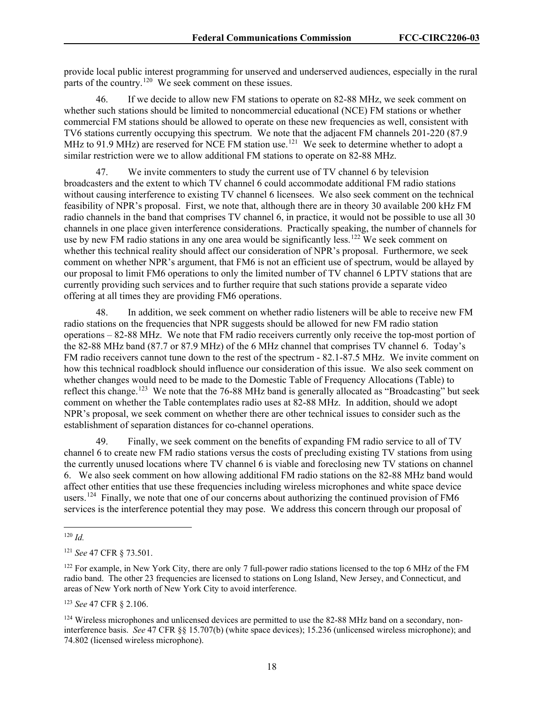provide local public interest programming for unserved and underserved audiences, especially in the rural parts of the country.<sup>120</sup> We seek comment on these issues.

46. If we decide to allow new FM stations to operate on 82-88 MHz, we seek comment on whether such stations should be limited to noncommercial educational (NCE) FM stations or whether commercial FM stations should be allowed to operate on these new frequencies as well, consistent with TV6 stations currently occupying this spectrum. We note that the adjacent FM channels 201-220 (87.9 MHz to 91.9 MHz) are reserved for NCE FM station use.<sup>[121](#page-18-1)</sup> We seek to determine whether to adopt a similar restriction were we to allow additional FM stations to operate on 82-88 MHz.

47. We invite commenters to study the current use of TV channel 6 by television broadcasters and the extent to which TV channel 6 could accommodate additional FM radio stations without causing interference to existing TV channel 6 licensees. We also seek comment on the technical feasibility of NPR's proposal. First, we note that, although there are in theory 30 available 200 kHz FM radio channels in the band that comprises TV channel 6, in practice, it would not be possible to use all 30 channels in one place given interference considerations. Practically speaking, the number of channels for use by new FM radio stations in any one area would be significantly less.<sup>[122](#page-18-2)</sup> We seek comment on whether this technical reality should affect our consideration of NPR's proposal. Furthermore, we seek comment on whether NPR's argument, that FM6 is not an efficient use of spectrum, would be allayed by our proposal to limit FM6 operations to only the limited number of TV channel 6 LPTV stations that are currently providing such services and to further require that such stations provide a separate video offering at all times they are providing FM6 operations.

48. In addition, we seek comment on whether radio listeners will be able to receive new FM radio stations on the frequencies that NPR suggests should be allowed for new FM radio station operations – 82-88 MHz. We note that FM radio receivers currently only receive the top-most portion of the 82-88 MHz band (87.7 or 87.9 MHz) of the 6 MHz channel that comprises TV channel 6. Today's FM radio receivers cannot tune down to the rest of the spectrum - 82.1-87.5 MHz. We invite comment on how this technical roadblock should influence our consideration of this issue. We also seek comment on whether changes would need to be made to the Domestic Table of Frequency Allocations (Table) to reflect this change.<sup>[123](#page-18-3)</sup> We note that the 76-88 MHz band is generally allocated as "Broadcasting" but seek comment on whether the Table contemplates radio uses at 82-88 MHz. In addition, should we adopt NPR's proposal, we seek comment on whether there are other technical issues to consider such as the establishment of separation distances for co-channel operations.

49. Finally, we seek comment on the benefits of expanding FM radio service to all of TV channel 6 to create new FM radio stations versus the costs of precluding existing TV stations from using the currently unused locations where TV channel 6 is viable and foreclosing new TV stations on channel 6. We also seek comment on how allowing additional FM radio stations on the 82-88 MHz band would affect other entities that use these frequencies including wireless microphones and white space device users.<sup>[124](#page-18-4)</sup> Finally, we note that one of our concerns about authorizing the continued provision of FM6 services is the interference potential they may pose. We address this concern through our proposal of

<span id="page-18-3"></span><sup>123</sup> *See* 47 CFR § 2.106.

<span id="page-18-0"></span><sup>120</sup> *Id.*

<span id="page-18-1"></span><sup>121</sup> *See* 47 CFR § 73.501.

<span id="page-18-2"></span><sup>&</sup>lt;sup>122</sup> For example, in New York City, there are only 7 full-power radio stations licensed to the top 6 MHz of the FM radio band. The other 23 frequencies are licensed to stations on Long Island, New Jersey, and Connecticut, and areas of New York north of New York City to avoid interference.

<span id="page-18-4"></span><sup>&</sup>lt;sup>124</sup> Wireless microphones and unlicensed devices are permitted to use the 82-88 MHz band on a secondary, noninterference basis. *See* 47 CFR §§ 15.707(b) (white space devices); 15.236 (unlicensed wireless microphone); and 74.802 (licensed wireless microphone).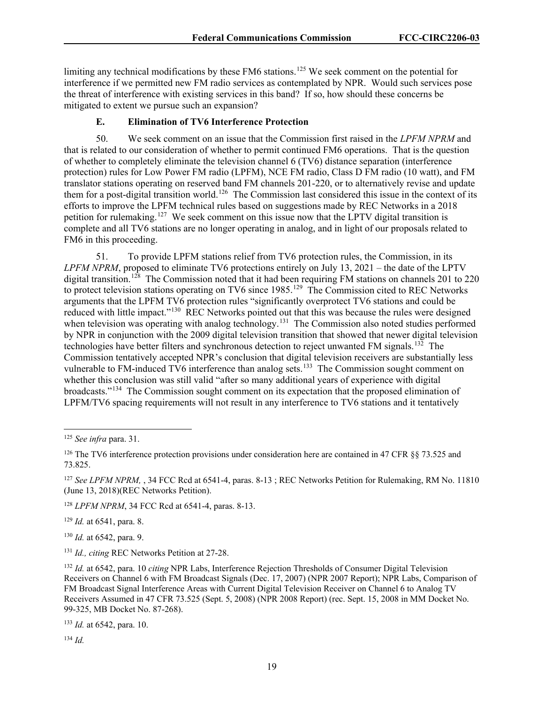limiting any technical modifications by these FM6 stations.<sup>[125](#page-19-0)</sup> We seek comment on the potential for interference if we permitted new FM radio services as contemplated by NPR. Would such services pose the threat of interference with existing services in this band? If so, how should these concerns be mitigated to extent we pursue such an expansion?

# **E. Elimination of TV6 Interference Protection**

50. We seek comment on an issue that the Commission first raised in the *LPFM NPRM* and that is related to our consideration of whether to permit continued FM6 operations. That is the question of whether to completely eliminate the television channel 6 (TV6) distance separation (interference protection) rules for Low Power FM radio (LPFM), NCE FM radio, Class D FM radio (10 watt), and FM translator stations operating on reserved band FM channels 201-220, or to alternatively revise and update them for a post-digital transition world.[126](#page-19-1) The Commission last considered this issue in the context of its efforts to improve the LPFM technical rules based on suggestions made by REC Networks in a 2018 petition for rulemaking.<sup>127</sup> We seek comment on this issue now that the LPTV digital transition is complete and all TV6 stations are no longer operating in analog, and in light of our proposals related to FM6 in this proceeding.

51. To provide LPFM stations relief from TV6 protection rules, the Commission, in its *LPFM NPRM*, proposed to eliminate TV6 protections entirely on July 13, 2021 – the date of the LPTV digital transition.<sup>[128](#page-19-3)</sup> The Commission noted that it had been requiring FM stations on channels 201 to 220 to protect television stations operating on TV6 since 1985.<sup>129</sup> The Commission cited to REC Networks arguments that the LPFM TV6 protection rules "significantly overprotect TV6 stations and could be reduced with little impact."<sup>[130](#page-19-5)</sup> REC Networks pointed out that this was because the rules were designed when television was operating with analog technology.<sup>[131](#page-19-6)</sup> The Commission also noted studies performed by NPR in conjunction with the 2009 digital television transition that showed that newer digital television technologies have better filters and synchronous detection to reject unwanted FM signals.[132](#page-19-7) The Commission tentatively accepted NPR's conclusion that digital television receivers are substantially less vulnerable to FM-induced TV6 interference than analog sets.<sup>133</sup> The Commission sought comment on whether this conclusion was still valid "after so many additional years of experience with digital broadcasts."[134](#page-19-9) The Commission sought comment on its expectation that the proposed elimination of LPFM/TV6 spacing requirements will not result in any interference to TV6 stations and it tentatively

<span id="page-19-3"></span><sup>128</sup> *LPFM NPRM*, 34 FCC Rcd at 6541-4, paras. 8-13.

<span id="page-19-4"></span><sup>129</sup> *Id.* at 6541, para. 8.

<span id="page-19-5"></span><sup>130</sup> *Id.* at 6542, para. 9.

<span id="page-19-6"></span><sup>131</sup> *Id., citing* REC Networks Petition at 27-28.

<span id="page-19-8"></span><sup>133</sup> *Id.* at 6542, para. 10.

<span id="page-19-9"></span><sup>134</sup> *Id.*

<span id="page-19-0"></span><sup>125</sup> *See infra* para. 31.

<span id="page-19-1"></span><sup>126</sup> The TV6 interference protection provisions under consideration here are contained in 47 CFR §§ 73.525 and 73.825.

<span id="page-19-2"></span><sup>127</sup> *See LPFM NPRM,* , 34 FCC Rcd at 6541-4, paras. 8-13 ; REC Networks Petition for Rulemaking, RM No. 11810 (June 13, 2018)(REC Networks Petition).

<span id="page-19-7"></span><sup>132</sup> *Id.* at 6542, para. 10 *citing* NPR Labs, Interference Rejection Thresholds of Consumer Digital Television Receivers on Channel 6 with FM Broadcast Signals (Dec. 17, 2007) (NPR 2007 Report); NPR Labs, Comparison of FM Broadcast Signal Interference Areas with Current Digital Television Receiver on Channel 6 to Analog TV Receivers Assumed in 47 CFR 73.525 (Sept. 5, 2008) (NPR 2008 Report) (rec. Sept. 15, 2008 in MM Docket No. 99-325, MB Docket No. 87-268).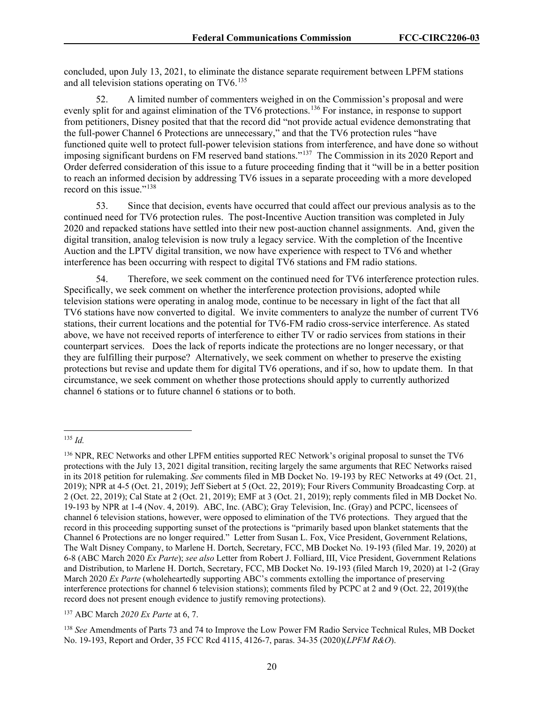concluded, upon July 13, 2021, to eliminate the distance separate requirement between LPFM stations and all television stations operating on TV6.<sup>[135](#page-20-0)</sup>

52. A limited number of commenters weighed in on the Commission's proposal and were evenly split for and against elimination of the TV6 protections.<sup>[136](#page-20-1)</sup> For instance, in response to support from petitioners, Disney posited that that the record did "not provide actual evidence demonstrating that the full-power Channel 6 Protections are unnecessary," and that the TV6 protection rules "have functioned quite well to protect full-power television stations from interference, and have done so without imposing significant burdens on FM reserved band stations."[137](#page-20-2) The Commission in its 2020 Report and Order deferred consideration of this issue to a future proceeding finding that it "will be in a better position to reach an informed decision by addressing TV6 issues in a separate proceeding with a more developed record on this issue."<sup>138</sup>

53. Since that decision, events have occurred that could affect our previous analysis as to the continued need for TV6 protection rules. The post-Incentive Auction transition was completed in July 2020 and repacked stations have settled into their new post-auction channel assignments. And, given the digital transition, analog television is now truly a legacy service. With the completion of the Incentive Auction and the LPTV digital transition, we now have experience with respect to TV6 and whether interference has been occurring with respect to digital TV6 stations and FM radio stations.

54. Therefore, we seek comment on the continued need for TV6 interference protection rules. Specifically, we seek comment on whether the interference protection provisions, adopted while television stations were operating in analog mode, continue to be necessary in light of the fact that all TV6 stations have now converted to digital. We invite commenters to analyze the number of current TV6 stations, their current locations and the potential for TV6-FM radio cross-service interference. As stated above, we have not received reports of interference to either TV or radio services from stations in their counterpart services. Does the lack of reports indicate the protections are no longer necessary, or that they are fulfilling their purpose? Alternatively, we seek comment on whether to preserve the existing protections but revise and update them for digital TV6 operations, and if so, how to update them. In that circumstance, we seek comment on whether those protections should apply to currently authorized channel 6 stations or to future channel 6 stations or to both.

<span id="page-20-0"></span><sup>135</sup> *Id.*

<span id="page-20-1"></span><sup>136</sup> NPR, REC Networks and other LPFM entities supported REC Network's original proposal to sunset the TV6 protections with the July 13, 2021 digital transition, reciting largely the same arguments that REC Networks raised in its 2018 petition for rulemaking. *See* comments filed in MB Docket No. 19-193 by REC Networks at 49 (Oct. 21, 2019); NPR at 4-5 (Oct. 21, 2019); Jeff Siebert at 5 (Oct. 22, 2019); Four Rivers Community Broadcasting Corp. at 2 (Oct. 22, 2019); Cal State at 2 (Oct. 21, 2019); EMF at 3 (Oct. 21, 2019); reply comments filed in MB Docket No. 19-193 by NPR at 1-4 (Nov. 4, 2019). ABC, Inc. (ABC); Gray Television, Inc. (Gray) and PCPC, licensees of channel 6 television stations, however, were opposed to elimination of the TV6 protections. They argued that the record in this proceeding supporting sunset of the protections is "primarily based upon blanket statements that the Channel 6 Protections are no longer required." Letter from Susan L. Fox, Vice President, Government Relations, The Walt Disney Company, to Marlene H. Dortch, Secretary, FCC, MB Docket No. 19-193 (filed Mar. 19, 2020) at 6-8 (ABC March 2020 *Ex Parte*); *see also* Letter from Robert J. Folliard, III, Vice President, Government Relations and Distribution, to Marlene H. Dortch, Secretary, FCC, MB Docket No. 19-193 (filed March 19, 2020) at 1-2 (Gray March 2020 *Ex Parte* (wholeheartedly supporting ABC's comments extolling the importance of preserving interference protections for channel 6 television stations); comments filed by PCPC at 2 and 9 (Oct. 22, 2019)(the record does not present enough evidence to justify removing protections).

<span id="page-20-2"></span><sup>137</sup> ABC March *2020 Ex Parte* at 6, 7.

<span id="page-20-3"></span><sup>138</sup> *See* Amendments of Parts 73 and 74 to Improve the Low Power FM Radio Service Technical Rules, MB Docket No. 19-193, Report and Order, 35 FCC Rcd 4115, 4126-7, paras. 34-35 (2020)(*LPFM R&O*).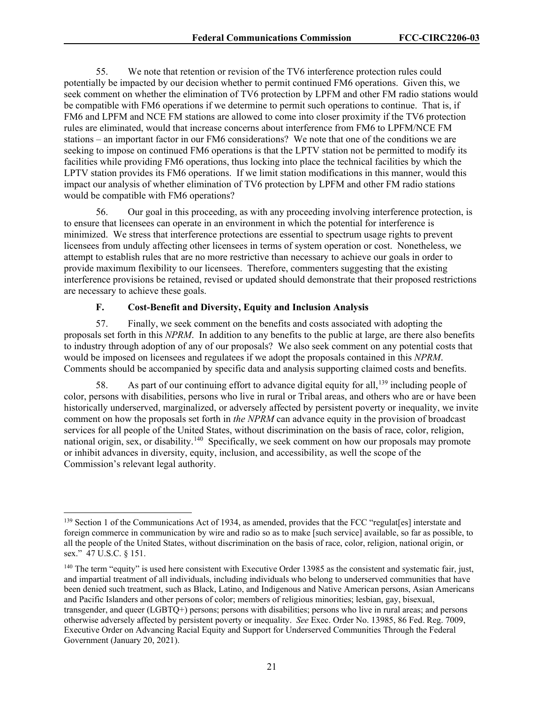55. We note that retention or revision of the TV6 interference protection rules could potentially be impacted by our decision whether to permit continued FM6 operations. Given this, we seek comment on whether the elimination of TV6 protection by LPFM and other FM radio stations would be compatible with FM6 operations if we determine to permit such operations to continue. That is, if FM6 and LPFM and NCE FM stations are allowed to come into closer proximity if the TV6 protection rules are eliminated, would that increase concerns about interference from FM6 to LPFM/NCE FM stations – an important factor in our FM6 considerations? We note that one of the conditions we are seeking to impose on continued FM6 operations is that the LPTV station not be permitted to modify its facilities while providing FM6 operations, thus locking into place the technical facilities by which the LPTV station provides its FM6 operations. If we limit station modifications in this manner, would this impact our analysis of whether elimination of TV6 protection by LPFM and other FM radio stations would be compatible with FM6 operations?

56. Our goal in this proceeding, as with any proceeding involving interference protection, is to ensure that licensees can operate in an environment in which the potential for interference is minimized. We stress that interference protections are essential to spectrum usage rights to prevent licensees from unduly affecting other licensees in terms of system operation or cost. Nonetheless, we attempt to establish rules that are no more restrictive than necessary to achieve our goals in order to provide maximum flexibility to our licensees. Therefore, commenters suggesting that the existing interference provisions be retained, revised or updated should demonstrate that their proposed restrictions are necessary to achieve these goals.

## **F. Cost-Benefit and Diversity, Equity and Inclusion Analysis**

57. Finally, we seek comment on the benefits and costs associated with adopting the proposals set forth in this *NPRM*. In addition to any benefits to the public at large, are there also benefits to industry through adoption of any of our proposals? We also seek comment on any potential costs that would be imposed on licensees and regulatees if we adopt the proposals contained in this *NPRM*. Comments should be accompanied by specific data and analysis supporting claimed costs and benefits.

58. As part of our continuing effort to advance digital equity for all,<sup>[139](#page-21-0)</sup> including people of color, persons with disabilities, persons who live in rural or Tribal areas, and others who are or have been historically underserved, marginalized, or adversely affected by persistent poverty or inequality, we invite comment on how the proposals set forth in *the NPRM* can advance equity in the provision of broadcast services for all people of the United States, without discrimination on the basis of race, color, religion, national origin, sex, or disability.<sup>140</sup> Specifically, we seek comment on how our proposals may promote or inhibit advances in diversity, equity, inclusion, and accessibility, as well the scope of the Commission's relevant legal authority.

<span id="page-21-0"></span><sup>&</sup>lt;sup>139</sup> Section 1 of the Communications Act of 1934, as amended, provides that the FCC "regulat[es] interstate and foreign commerce in communication by wire and radio so as to make [such service] available, so far as possible, to all the people of the United States, without discrimination on the basis of race, color, religion, national origin, or sex." 47 U.S.C. § 151.

<span id="page-21-1"></span><sup>&</sup>lt;sup>140</sup> The term "equity" is used here consistent with Executive Order 13985 as the consistent and systematic fair, just, and impartial treatment of all individuals, including individuals who belong to underserved communities that have been denied such treatment, such as Black, Latino, and Indigenous and Native American persons, Asian Americans and Pacific Islanders and other persons of color; members of religious minorities; lesbian, gay, bisexual, transgender, and queer (LGBTQ+) persons; persons with disabilities; persons who live in rural areas; and persons otherwise adversely affected by persistent poverty or inequality. *See* Exec. Order No. 13985, 86 Fed. Reg. 7009, Executive Order on Advancing Racial Equity and Support for Underserved Communities Through the Federal Government (January 20, 2021).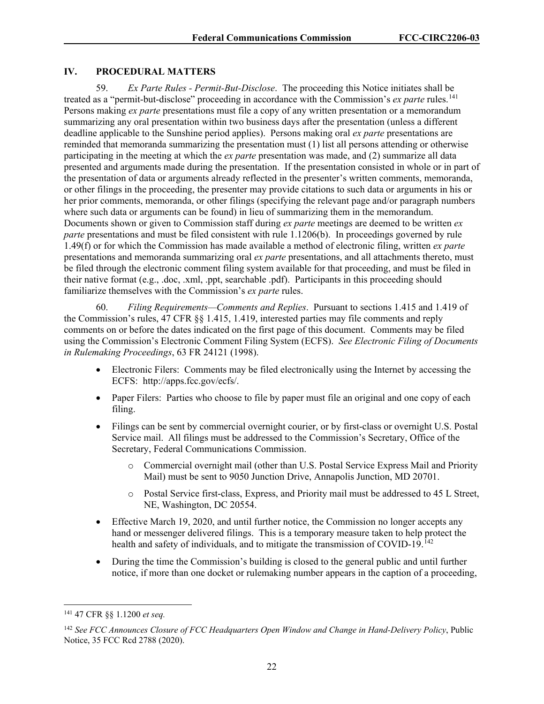### **IV. PROCEDURAL MATTERS**

59. *Ex Parte Rules - Permit-But-Disclose*. The proceeding this Notice initiates shall be treated as a "permit-but-disclose" proceeding in accordance with the Commission's *ex parte* rules.<sup>[141](#page-22-0)</sup> Persons making *ex parte* presentations must file a copy of any written presentation or a memorandum summarizing any oral presentation within two business days after the presentation (unless a different deadline applicable to the Sunshine period applies). Persons making oral *ex parte* presentations are reminded that memoranda summarizing the presentation must (1) list all persons attending or otherwise participating in the meeting at which the *ex parte* presentation was made, and (2) summarize all data presented and arguments made during the presentation. If the presentation consisted in whole or in part of the presentation of data or arguments already reflected in the presenter's written comments, memoranda, or other filings in the proceeding, the presenter may provide citations to such data or arguments in his or her prior comments, memoranda, or other filings (specifying the relevant page and/or paragraph numbers where such data or arguments can be found) in lieu of summarizing them in the memorandum. Documents shown or given to Commission staff during *ex parte* meetings are deemed to be written *ex parte* presentations and must be filed consistent with rule 1.1206(b). In proceedings governed by rule 1.49(f) or for which the Commission has made available a method of electronic filing, written *ex parte* presentations and memoranda summarizing oral *ex parte* presentations, and all attachments thereto, must be filed through the electronic comment filing system available for that proceeding, and must be filed in their native format (e.g., .doc, .xml, .ppt, searchable .pdf). Participants in this proceeding should familiarize themselves with the Commission's *ex parte* rules.

60. *Filing Requirements—Comments and Replies*. Pursuant to sections 1.415 and 1.419 of the Commission's rules, 47 CFR §§ 1.415, 1.419, interested parties may file comments and reply comments on or before the dates indicated on the first page of this document. Comments may be filed using the Commission's Electronic Comment Filing System (ECFS). *See Electronic Filing of Documents in Rulemaking Proceedings*, 63 FR 24121 (1998).

- Electronic Filers: Comments may be filed electronically using the Internet by accessing the ECFS: http://apps.fcc.gov/ecfs/.
- Paper Filers: Parties who choose to file by paper must file an original and one copy of each filing.
- Filings can be sent by commercial overnight courier, or by first-class or overnight U.S. Postal Service mail. All filings must be addressed to the Commission's Secretary, Office of the Secretary, Federal Communications Commission.
	- o Commercial overnight mail (other than U.S. Postal Service Express Mail and Priority Mail) must be sent to 9050 Junction Drive, Annapolis Junction, MD 20701.
	- o Postal Service first-class, Express, and Priority mail must be addressed to 45 L Street, NE, Washington, DC 20554.
- Effective March 19, 2020, and until further notice, the Commission no longer accepts any hand or messenger delivered filings. This is a temporary measure taken to help protect the health and safety of individuals, and to mitigate the transmission of COVID-19.<sup>[142](#page-22-1)</sup>
- During the time the Commission's building is closed to the general public and until further notice, if more than one docket or rulemaking number appears in the caption of a proceeding,

<span id="page-22-0"></span><sup>141</sup> 47 CFR §§ 1.1200 *et seq.*

<span id="page-22-1"></span><sup>142</sup> *See FCC Announces Closure of FCC Headquarters Open Window and Change in Hand-Delivery Policy*, Public Notice, 35 FCC Rcd 2788 (2020).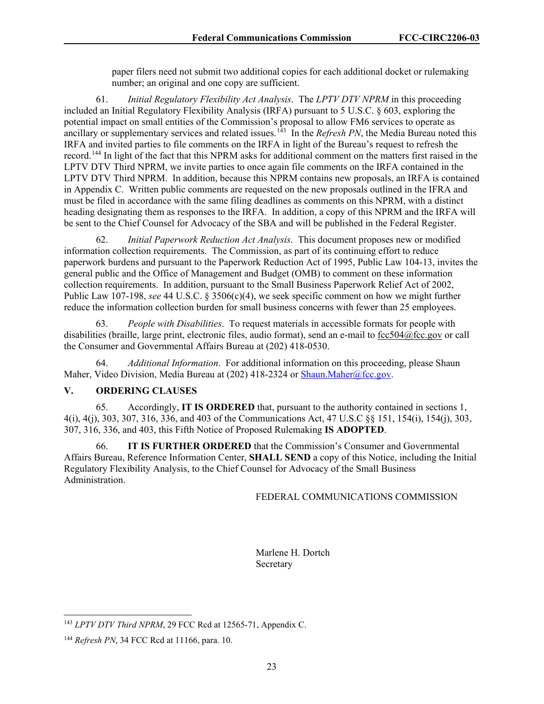paper filers need not submit two additional copies for each additional docket or rulemaking number; an original and one copy are sufficient.

61. *Initial Regulatory Flexibility Act Analysis*. The *LPTV DTV NPRM* in this proceeding included an Initial Regulatory Flexibility Analysis (IRFA) pursuant to 5 U.S.C. § 603, exploring the potential impact on small entities of the Commission's proposal to allow FM6 services to operate as ancillary or supplementary services and related issues.<sup>[143](#page-23-0)</sup> In the *Refresh PN*, the Media Bureau noted this IRFA and invited parties to file comments on the IRFA in light of the Bureau's request to refresh the record.<sup>[144](#page-23-1)</sup> In light of the fact that this NPRM asks for additional comment on the matters first raised in the LPTV DTV Third NPRM, we invite parties to once again file comments on the IRFA contained in the LPTV DTV Third NPRM. In addition, because this NPRM contains new proposals, an IRFA is contained in Appendix C. Written public comments are requested on the new proposals outlined in the IFRA and must be filed in accordance with the same filing deadlines as comments on this NPRM, with a distinct heading designating them as responses to the IRFA. In addition, a copy of this NPRM and the IRFA will be sent to the Chief Counsel for Advocacy of the SBA and will be published in the Federal Register.

62. *Initial Paperwork Reduction Act Analysis*. This document proposes new or modified information collection requirements. The Commission, as part of its continuing effort to reduce paperwork burdens and pursuant to the Paperwork Reduction Act of 1995, Public Law 104-13, invites the general public and the Office of Management and Budget (OMB) to comment on these information collection requirements. In addition, pursuant to the Small Business Paperwork Relief Act of 2002, Public Law 107-198, *see* 44 U.S.C. § 3506(c)(4), we seek specific comment on how we might further reduce the information collection burden for small business concerns with fewer than 25 employees.

63. *People with Disabilities*. To request materials in accessible formats for people with disabilities (braille, large print, electronic files, audio format), send an e-mail to [fcc504@fcc.gov](about:blank) or call the Consumer and Governmental Affairs Bureau at (202) 418-0530.

64. *Additional Information*. For additional information on this proceeding, please Shaun Maher, Video Division, Media Bureau at (202) 418-2324 or [Shaun.Maher@fcc.gov.](mailto:Shaun.Maher@fcc.gov)

#### **V. ORDERING CLAUSES**

65. Accordingly, **IT IS ORDERED** that, pursuant to the authority contained in sections 1, 4(i), 4(j), 303, 307, 316, 336, and 403 of the Communications Act, 47 U.S.C §§ 151, 154(i), 154(j), 303, 307, 316, 336, and 403, this Fifth Notice of Proposed Rulemaking **IS ADOPTED**.

66. **IT IS FURTHER ORDERED** that the Commission's Consumer and Governmental Affairs Bureau, Reference Information Center, **SHALL SEND** a copy of this Notice, including the Initial Regulatory Flexibility Analysis, to the Chief Counsel for Advocacy of the Small Business Administration.

#### FEDERAL COMMUNICATIONS COMMISSION

 Marlene H. Dortch Secretary

<span id="page-23-0"></span><sup>143</sup> *LPTV DTV Third NPRM*, 29 FCC Rcd at 12565-71, Appendix C.

<span id="page-23-1"></span><sup>144</sup> *Refresh PN*, 34 FCC Rcd at 11166, para. 10.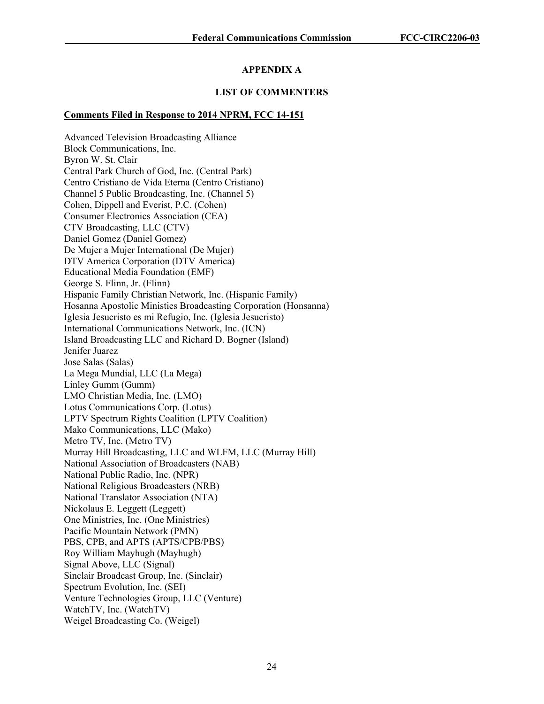# **APPENDIX A**

# **LIST OF COMMENTERS**

# **Comments Filed in Response to 2014 NPRM, FCC 14-151**

Advanced Television Broadcasting Alliance Block Communications, Inc. Byron W. St. Clair Central Park Church of God, Inc. (Central Park) Centro Cristiano de Vida Eterna (Centro Cristiano) Channel 5 Public Broadcasting, Inc. (Channel 5) Cohen, Dippell and Everist, P.C. (Cohen) Consumer Electronics Association (CEA) CTV Broadcasting, LLC (CTV) Daniel Gomez (Daniel Gomez) De Mujer a Mujer International (De Mujer) DTV America Corporation (DTV America) Educational Media Foundation (EMF) George S. Flinn, Jr. (Flinn) Hispanic Family Christian Network, Inc. (Hispanic Family) Hosanna Apostolic Ministies Broadcasting Corporation (Honsanna) Iglesia Jesucristo es mi Refugio, Inc. (Iglesia Jesucristo) International Communications Network, Inc. (ICN) Island Broadcasting LLC and Richard D. Bogner (Island) Jenifer Juarez Jose Salas (Salas) La Mega Mundial, LLC (La Mega) Linley Gumm (Gumm) LMO Christian Media, Inc. (LMO) Lotus Communications Corp. (Lotus) LPTV Spectrum Rights Coalition (LPTV Coalition) Mako Communications, LLC (Mako) Metro TV, Inc. (Metro TV) Murray Hill Broadcasting, LLC and WLFM, LLC (Murray Hill) National Association of Broadcasters (NAB) National Public Radio, Inc. (NPR) National Religious Broadcasters (NRB) National Translator Association (NTA) Nickolaus E. Leggett (Leggett) One Ministries, Inc. (One Ministries) Pacific Mountain Network (PMN) PBS, CPB, and APTS (APTS/CPB/PBS) Roy William Mayhugh (Mayhugh) Signal Above, LLC (Signal) Sinclair Broadcast Group, Inc. (Sinclair) Spectrum Evolution, Inc. (SEI) Venture Technologies Group, LLC (Venture) WatchTV, Inc. (WatchTV) Weigel Broadcasting Co. (Weigel)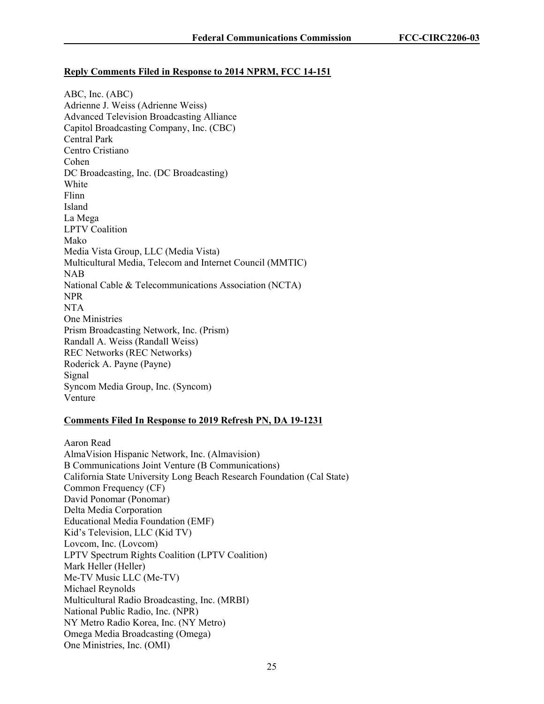### **Reply Comments Filed in Response to 2014 NPRM, FCC 14-151**

ABC, Inc. (ABC) Adrienne J. Weiss (Adrienne Weiss) Advanced Television Broadcasting Alliance Capitol Broadcasting Company, Inc. (CBC) Central Park Centro Cristiano Cohen DC Broadcasting, Inc. (DC Broadcasting) White Flinn Island La Mega LPTV Coalition Mako Media Vista Group, LLC (Media Vista) Multicultural Media, Telecom and Internet Council (MMTIC) NAB National Cable & Telecommunications Association (NCTA) NPR NTA One Ministries Prism Broadcasting Network, Inc. (Prism) Randall A. Weiss (Randall Weiss) REC Networks (REC Networks) Roderick A. Payne (Payne) Signal Syncom Media Group, Inc. (Syncom) Venture

## **Comments Filed In Response to 2019 Refresh PN, DA 19-1231**

Aaron Read AlmaVision Hispanic Network, Inc. (Almavision) B Communications Joint Venture (B Communications) California State University Long Beach Research Foundation (Cal State) Common Frequency (CF) David Ponomar (Ponomar) Delta Media Corporation Educational Media Foundation (EMF) Kid's Television, LLC (Kid TV) Lovcom, Inc. (Lovcom) LPTV Spectrum Rights Coalition (LPTV Coalition) Mark Heller (Heller) Me-TV Music LLC (Me-TV) Michael Reynolds Multicultural Radio Broadcasting, Inc. (MRBI) National Public Radio, Inc. (NPR) NY Metro Radio Korea, Inc. (NY Metro) Omega Media Broadcasting (Omega) One Ministries, Inc. (OMI)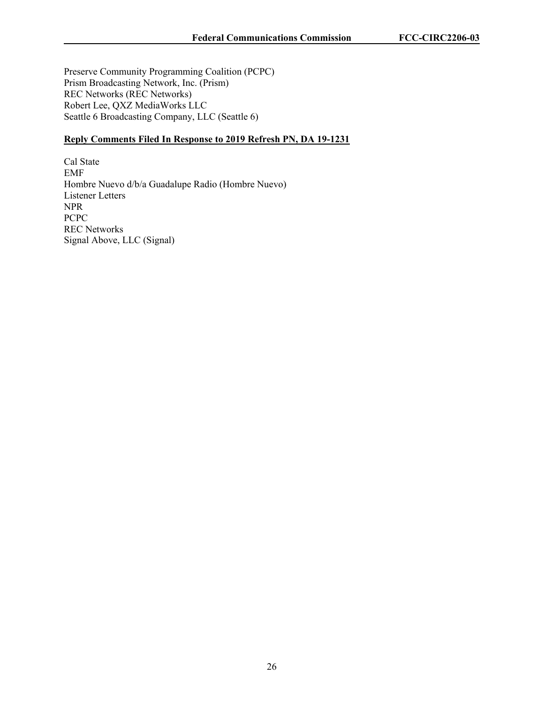Preserve Community Programming Coalition (PCPC) Prism Broadcasting Network, Inc. (Prism) REC Networks (REC Networks) Robert Lee, QXZ MediaWorks LLC Seattle 6 Broadcasting Company, LLC (Seattle 6)

# **Reply Comments Filed In Response to 2019 Refresh PN, DA 19-1231**

Cal State EMF Hombre Nuevo d/b/a Guadalupe Radio (Hombre Nuevo) Listener Letters NPR PCPC REC Networks Signal Above, LLC (Signal)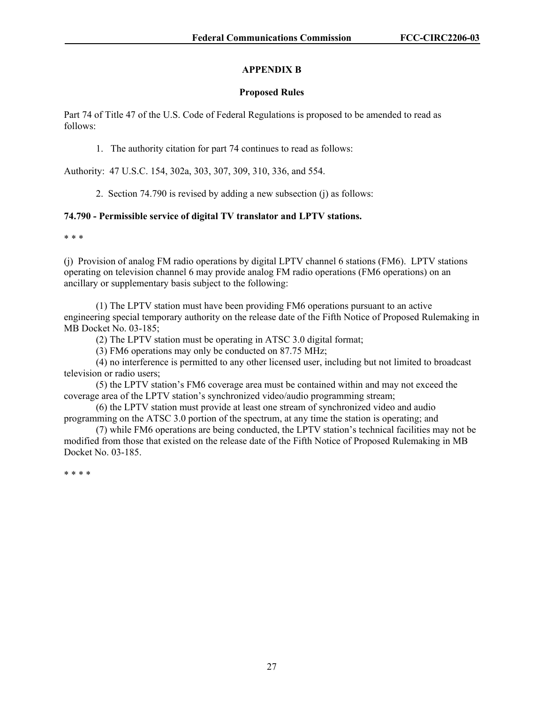# **APPENDIX B**

### **Proposed Rules**

Part 74 of Title 47 of the U.S. Code of Federal Regulations is proposed to be amended to read as follows:

1. The authority citation for part 74 continues to read as follows:

Authority: 47 U.S.C. 154, 302a, 303, 307, 309, 310, 336, and 554.

2. Section 74.790 is revised by adding a new subsection (j) as follows:

## **74.790 - Permissible service of digital TV translator and LPTV stations.**

\* \* \*

(j) Provision of analog FM radio operations by digital LPTV channel 6 stations (FM6). LPTV stations operating on television channel 6 may provide analog FM radio operations (FM6 operations) on an ancillary or supplementary basis subject to the following:

(1) The LPTV station must have been providing FM6 operations pursuant to an active engineering special temporary authority on the release date of the Fifth Notice of Proposed Rulemaking in MB Docket No. 03-185;

(2) The LPTV station must be operating in ATSC 3.0 digital format;

(3) FM6 operations may only be conducted on 87.75 MHz;

(4) no interference is permitted to any other licensed user, including but not limited to broadcast television or radio users;

(5) the LPTV station's FM6 coverage area must be contained within and may not exceed the coverage area of the LPTV station's synchronized video/audio programming stream;

(6) the LPTV station must provide at least one stream of synchronized video and audio programming on the ATSC 3.0 portion of the spectrum, at any time the station is operating; and

(7) while FM6 operations are being conducted, the LPTV station's technical facilities may not be modified from those that existed on the release date of the Fifth Notice of Proposed Rulemaking in MB Docket No. 03-185.

\* \* \* \*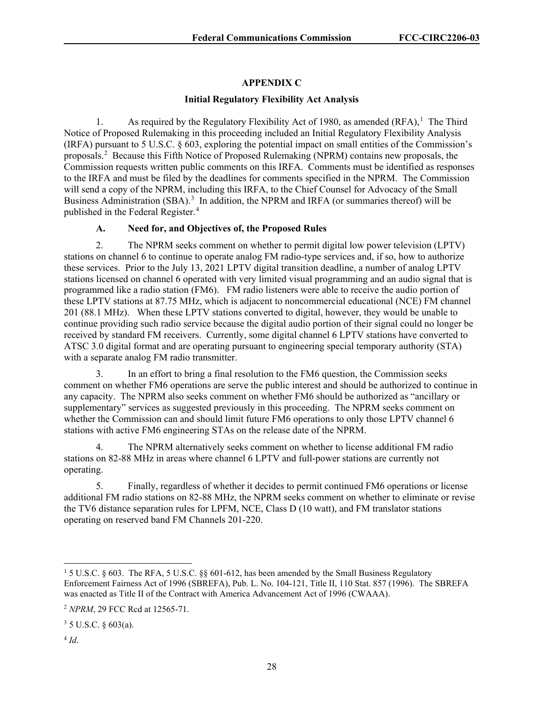# **APPENDIX C**

### **Initial Regulatory Flexibility Act Analysis**

[1](#page-28-0). As required by the Regulatory Flexibility Act of 1980, as amended  $(RFA)$ ,<sup>1</sup> The Third Notice of Proposed Rulemaking in this proceeding included an Initial Regulatory Flexibility Analysis (IRFA) pursuant to 5 U.S.C. § 603, exploring the potential impact on small entities of the Commission's proposals.<sup>[2](#page-28-1)</sup> Because this Fifth Notice of Proposed Rulemaking (NPRM) contains new proposals, the Commission requests written public comments on this IRFA. Comments must be identified as responses to the IRFA and must be filed by the deadlines for comments specified in the NPRM. The Commission will send a copy of the NPRM, including this IRFA, to the Chief Counsel for Advocacy of the Small Business Administration (SBA).<sup>[3](#page-28-2)</sup> In addition, the NPRM and IRFA (or summaries thereof) will be published in the Federal Register.<sup>[4](#page-28-3)</sup>

## **A. Need for, and Objectives of, the Proposed Rules**

2. The NPRM seeks comment on whether to permit digital low power television (LPTV) stations on channel 6 to continue to operate analog FM radio-type services and, if so, how to authorize these services. Prior to the July 13, 2021 LPTV digital transition deadline, a number of analog LPTV stations licensed on channel 6 operated with very limited visual programming and an audio signal that is programmed like a radio station (FM6). FM radio listeners were able to receive the audio portion of these LPTV stations at 87.75 MHz, which is adjacent to noncommercial educational (NCE) FM channel 201 (88.1 MHz). When these LPTV stations converted to digital, however, they would be unable to continue providing such radio service because the digital audio portion of their signal could no longer be received by standard FM receivers. Currently, some digital channel 6 LPTV stations have converted to ATSC 3.0 digital format and are operating pursuant to engineering special temporary authority (STA) with a separate analog FM radio transmitter.

3. In an effort to bring a final resolution to the FM6 question, the Commission seeks comment on whether FM6 operations are serve the public interest and should be authorized to continue in any capacity. The NPRM also seeks comment on whether FM6 should be authorized as "ancillary or supplementary" services as suggested previously in this proceeding. The NPRM seeks comment on whether the Commission can and should limit future FM6 operations to only those LPTV channel 6 stations with active FM6 engineering STAs on the release date of the NPRM.

4. The NPRM alternatively seeks comment on whether to license additional FM radio stations on 82-88 MHz in areas where channel 6 LPTV and full-power stations are currently not operating.

5. Finally, regardless of whether it decides to permit continued FM6 operations or license additional FM radio stations on 82-88 MHz, the NPRM seeks comment on whether to eliminate or revise the TV6 distance separation rules for LPFM, NCE, Class D (10 watt), and FM translator stations operating on reserved band FM Channels 201-220.

<span id="page-28-3"></span> $4$   $Id.$ 

<span id="page-28-0"></span><sup>1</sup> 5 U.S.C. § 603. The RFA, 5 U.S.C. §§ 601-612, has been amended by the Small Business Regulatory Enforcement Fairness Act of 1996 (SBREFA), Pub. L. No. 104-121, Title II, 110 Stat. 857 (1996). The SBREFA was enacted as Title II of the Contract with America Advancement Act of 1996 (CWAAA).

<span id="page-28-1"></span><sup>2</sup> *NPRM*, 29 FCC Rcd at 12565-71.

<span id="page-28-2"></span> $3 \, 5 \,$  U.S.C.  $\frac{6}{9} \, 603(a)$ .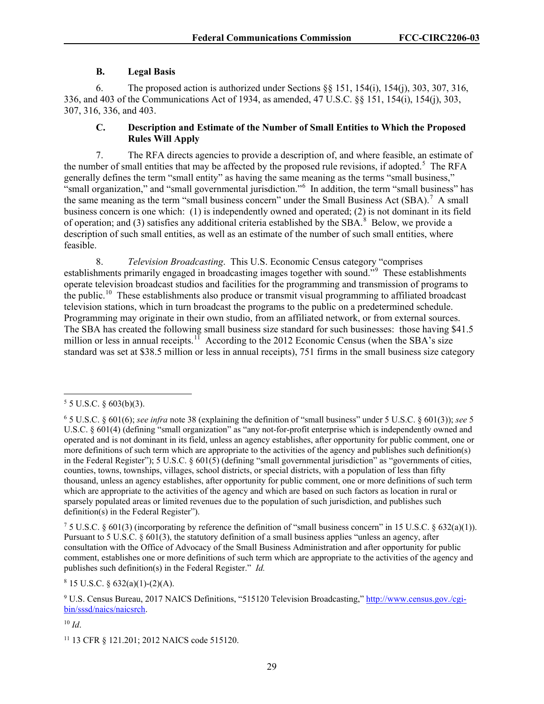## **B. Legal Basis**

6. The proposed action is authorized under Sections §§ 151, 154(i), 154(j), 303, 307, 316, 336, and 403 of the Communications Act of 1934, as amended, 47 U.S.C. §§ 151, 154(i), 154(j), 303, 307, 316, 336, and 403.

# **C. Description and Estimate of the Number of Small Entities to Which the Proposed Rules Will Apply**

7. The RFA directs agencies to provide a description of, and where feasible, an estimate of the number of small entities that may be affected by the proposed rule revisions, if adopted.<sup>[5](#page-29-0)</sup> The RFA generally defines the term "small entity" as having the same meaning as the terms "small business," "small organization," and "small governmental jurisdiction."[6](#page-29-1) In addition, the term "small business" has the same meaning as the term "small business concern" under the Small Business Act  $(SBA)$ .<sup>[7](#page-29-2)</sup> A small business concern is one which: (1) is independently owned and operated; (2) is not dominant in its field of operation; and (3) satisfies any additional criteria established by the SBA. $^8$  $^8$  Below, we provide a description of such small entities, as well as an estimate of the number of such small entities, where feasible.

8. *Television Broadcasting*. This U.S. Economic Census category "comprises establishments primarily engaged in broadcasting images together with sound."<sup>[9](#page-29-4)</sup> These establishments operate television broadcast studios and facilities for the programming and transmission of programs to the public.[10](#page-29-5) These establishments also produce or transmit visual programming to affiliated broadcast television stations, which in turn broadcast the programs to the public on a predetermined schedule. Programming may originate in their own studio, from an affiliated network, or from external sources. The SBA has created the following small business size standard for such businesses: those having \$41.5 million or less in annual receipts.<sup>11</sup> According to the 2012 Economic Census (when the SBA's size standard was set at \$38.5 million or less in annual receipts), 751 firms in the small business size category

<span id="page-29-3"></span> $8$  15 U.S.C. § 632(a)(1)-(2)(A).

<span id="page-29-4"></span><sup>9</sup> U.S. Census Bureau, 2017 NAICS Definitions, "515120 Television Broadcasting," [http://www.census.gov./cgi](http://www.census.gov./cgi-bin/sssd/naics/naicsrch)[bin/sssd/naics/naicsrch.](http://www.census.gov./cgi-bin/sssd/naics/naicsrch)

<span id="page-29-5"></span><sup>10</sup> *Id*.

<span id="page-29-0"></span> $5 \text{ U.S.C. }$  § 603(b)(3).

<span id="page-29-1"></span><sup>6</sup> 5 U.S.C. § 601(6); *see infra* note 38 (explaining the definition of "small business" under 5 U.S.C. § 601(3)); *see* 5 U.S.C. § 601(4) (defining "small organization" as "any not-for-profit enterprise which is independently owned and operated and is not dominant in its field, unless an agency establishes, after opportunity for public comment, one or more definitions of such term which are appropriate to the activities of the agency and publishes such definition(s) in the Federal Register"); 5 U.S.C. § 601(5) (defining "small governmental jurisdiction" as "governments of cities, counties, towns, townships, villages, school districts, or special districts, with a population of less than fifty thousand, unless an agency establishes, after opportunity for public comment, one or more definitions of such term which are appropriate to the activities of the agency and which are based on such factors as location in rural or sparsely populated areas or limited revenues due to the population of such jurisdiction, and publishes such definition(s) in the Federal Register").

<span id="page-29-2"></span> $75$  U.S.C. § 601(3) (incorporating by reference the definition of "small business concern" in 15 U.S.C. § 632(a)(1)). Pursuant to 5 U.S.C. § 601(3), the statutory definition of a small business applies "unless an agency, after consultation with the Office of Advocacy of the Small Business Administration and after opportunity for public comment, establishes one or more definitions of such term which are appropriate to the activities of the agency and publishes such definition(s) in the Federal Register." *Id.*

<span id="page-29-6"></span><sup>11</sup> 13 CFR § 121.201; 2012 NAICS code 515120.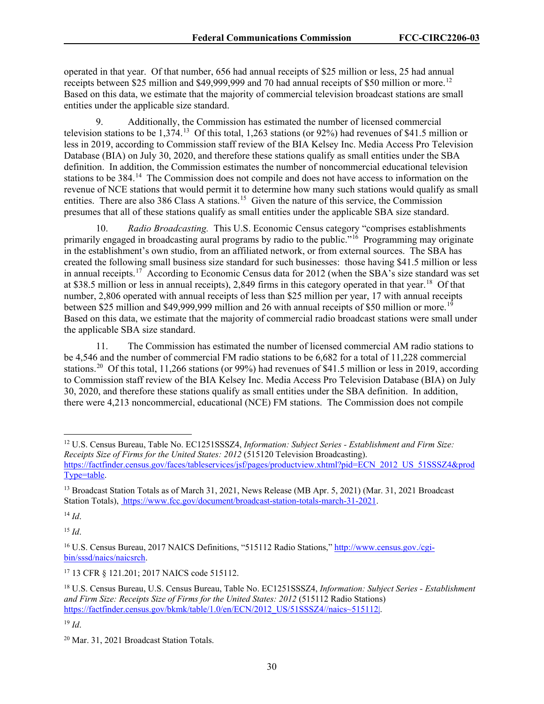operated in that year. Of that number, 656 had annual receipts of \$25 million or less, 25 had annual receipts between \$25 million and \$49,999,999 and 70 had annual receipts of \$50 million or more.<sup>[12](#page-30-0)</sup> Based on this data, we estimate that the majority of commercial television broadcast stations are small entities under the applicable size standard.

9. Additionally, the Commission has estimated the number of licensed commercial television stations to be 1,374.[13](#page-30-1) Of this total, 1,263 stations (or 92%) had revenues of \$41.5 million or less in 2019, according to Commission staff review of the BIA Kelsey Inc. Media Access Pro Television Database (BIA) on July 30, 2020, and therefore these stations qualify as small entities under the SBA definition. In addition, the Commission estimates the number of noncommercial educational television stations to be 384.<sup>14</sup> The Commission does not compile and does not have access to information on the revenue of NCE stations that would permit it to determine how many such stations would qualify as small entities. There are also 386 Class A stations.<sup>15</sup> Given the nature of this service, the Commission presumes that all of these stations qualify as small entities under the applicable SBA size standard.

10. *Radio Broadcasting.* This U.S. Economic Census category "comprises establishments primarily engaged in broadcasting aural programs by radio to the public."<sup>16</sup> Programming may originate in the establishment's own studio, from an affiliated network, or from external sources. The SBA has created the following small business size standard for such businesses: those having \$41.5 million or less in annual receipts.<sup>17</sup> According to Economic Census data for 2012 (when the SBA's size standard was set at \$38.5 million or less in annual receipts), 2,849 firms in this category operated in that year.[18](#page-30-6) Of that number, 2,806 operated with annual receipts of less than \$25 million per year, 17 with annual receipts between \$25 million and \$49,999,999 million and 26 with annual receipts of \$50 million or more.<sup>[19](#page-30-7)</sup> Based on this data, we estimate that the majority of commercial radio broadcast stations were small under the applicable SBA size standard.

11. The Commission has estimated the number of licensed commercial AM radio stations to be 4,546 and the number of commercial FM radio stations to be 6,682 for a total of 11,228 commercial stations.<sup>20</sup> Of this total, 11,266 stations (or 99%) had revenues of \$41.5 million or less in 2019, according to Commission staff review of the BIA Kelsey Inc. Media Access Pro Television Database (BIA) on July 30, 2020, and therefore these stations qualify as small entities under the SBA definition. In addition, there were 4,213 noncommercial, educational (NCE) FM stations. The Commission does not compile

<span id="page-30-2"></span><sup>14</sup> *Id*.

<span id="page-30-3"></span> $^{15}$  *Id*.

<span id="page-30-5"></span><sup>17</sup> 13 CFR § 121.201; 2017 NAICS code 515112.

<span id="page-30-0"></span><sup>12</sup> U.S. Census Bureau, Table No. EC1251SSSZ4, *Information: Subject Series - Establishment and Firm Size: Receipts Size of Firms for the United States: 2012* (515120 Television Broadcasting). [https://factfinder.census.gov/faces/tableservices/jsf/pages/productview.xhtml?pid=ECN\\_2012\\_US\\_51SSSZ4&prod](https://factfinder.census.gov/faces/tableservices/jsf/pages/productview.xhtml?pid=ECN_2012_US_51SSSZ4&prodType=table) [Type=table.](https://factfinder.census.gov/faces/tableservices/jsf/pages/productview.xhtml?pid=ECN_2012_US_51SSSZ4&prodType=table)

<span id="page-30-1"></span><sup>&</sup>lt;sup>13</sup> Broadcast Station Totals as of March 31, 2021, News Release (MB Apr. 5, 2021) (Mar. 31, 2021 Broadcast Station Totals), https://www.fcc.gov/document/broadcast-station-totals-march-31-2021.

<span id="page-30-4"></span><sup>16</sup> U.S. Census Bureau, 2017 NAICS Definitions, "515112 Radio Stations,[" http://www.census.gov./cgi](http://www.census.gov./cgi-bin/sssd/naics/naicsrch)[bin/sssd/naics/naicsrch.](http://www.census.gov./cgi-bin/sssd/naics/naicsrch)

<span id="page-30-6"></span><sup>18</sup> U.S. Census Bureau, U.S. Census Bureau, Table No. EC1251SSSZ4, *Information: Subject Series - Establishment and Firm Size: Receipts Size of Firms for the United States: 2012* (515112 Radio Stations) [https://factfinder.census.gov/bkmk/table/1.0/en/ECN/2012\\_US/51SSSZ4//naics~515112|.](https://factfinder.census.gov/bkmk/table/1.0/en/ECN/2012_US/51SSSZ4/naics%7E515112|)

<span id="page-30-7"></span><sup>19</sup> *Id*.

<span id="page-30-8"></span><sup>20</sup> Mar. 31, 2021 Broadcast Station Totals.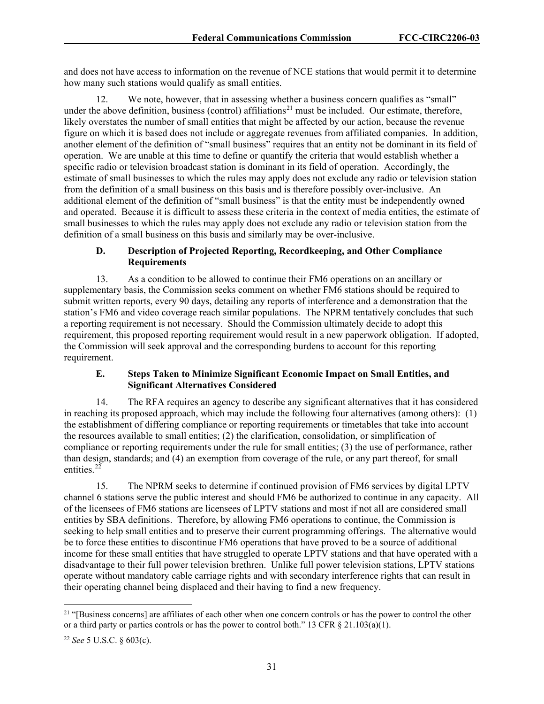and does not have access to information on the revenue of NCE stations that would permit it to determine how many such stations would qualify as small entities.

12. We note, however, that in assessing whether a business concern qualifies as "small" under the above definition, business (control) affiliations<sup>[21](#page-31-0)</sup> must be included. Our estimate, therefore, likely overstates the number of small entities that might be affected by our action, because the revenue figure on which it is based does not include or aggregate revenues from affiliated companies. In addition, another element of the definition of "small business" requires that an entity not be dominant in its field of operation. We are unable at this time to define or quantify the criteria that would establish whether a specific radio or television broadcast station is dominant in its field of operation. Accordingly, the estimate of small businesses to which the rules may apply does not exclude any radio or television station from the definition of a small business on this basis and is therefore possibly over-inclusive. An additional element of the definition of "small business" is that the entity must be independently owned and operated. Because it is difficult to assess these criteria in the context of media entities, the estimate of small businesses to which the rules may apply does not exclude any radio or television station from the definition of a small business on this basis and similarly may be over-inclusive.

# **D. Description of Projected Reporting, Recordkeeping, and Other Compliance Requirements**

13. As a condition to be allowed to continue their FM6 operations on an ancillary or supplementary basis, the Commission seeks comment on whether FM6 stations should be required to submit written reports, every 90 days, detailing any reports of interference and a demonstration that the station's FM6 and video coverage reach similar populations. The NPRM tentatively concludes that such a reporting requirement is not necessary. Should the Commission ultimately decide to adopt this requirement, this proposed reporting requirement would result in a new paperwork obligation. If adopted, the Commission will seek approval and the corresponding burdens to account for this reporting requirement.

# **E. Steps Taken to Minimize Significant Economic Impact on Small Entities, and Significant Alternatives Considered**

14. The RFA requires an agency to describe any significant alternatives that it has considered in reaching its proposed approach, which may include the following four alternatives (among others): (1) the establishment of differing compliance or reporting requirements or timetables that take into account the resources available to small entities; (2) the clarification, consolidation, or simplification of compliance or reporting requirements under the rule for small entities; (3) the use of performance, rather than design, standards; and (4) an exemption from coverage of the rule, or any part thereof, for small entities.<sup>[22](#page-31-1)</sup>

15. The NPRM seeks to determine if continued provision of FM6 services by digital LPTV channel 6 stations serve the public interest and should FM6 be authorized to continue in any capacity. All of the licensees of FM6 stations are licensees of LPTV stations and most if not all are considered small entities by SBA definitions. Therefore, by allowing FM6 operations to continue, the Commission is seeking to help small entities and to preserve their current programming offerings. The alternative would be to force these entities to discontinue FM6 operations that have proved to be a source of additional income for these small entities that have struggled to operate LPTV stations and that have operated with a disadvantage to their full power television brethren. Unlike full power television stations, LPTV stations operate without mandatory cable carriage rights and with secondary interference rights that can result in their operating channel being displaced and their having to find a new frequency.

<span id="page-31-0"></span><sup>&</sup>lt;sup>21</sup> "[Business concerns] are affiliates of each other when one concern controls or has the power to control the other or a third party or parties controls or has the power to control both." 13 CFR § 21.103(a)(1).

<span id="page-31-1"></span><sup>22</sup> *See* 5 U.S.C. § 603(c).